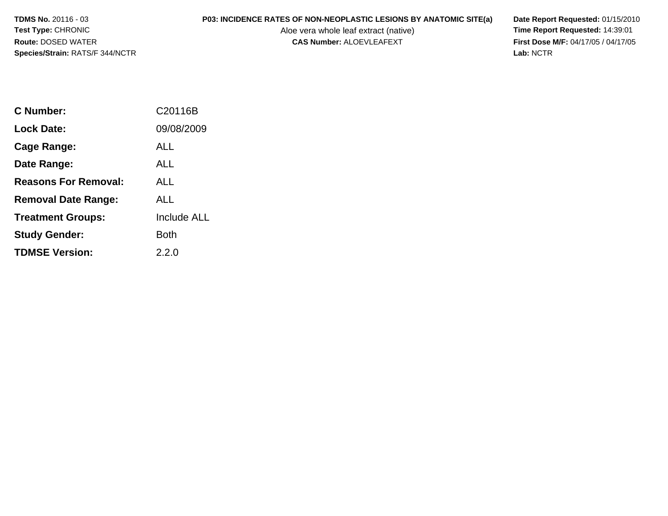# **P03: INCIDENCE RATES OF NON-NEOPLASTIC LESIONS BY ANATOMIC SITE(a) Date Report Requested: 01/15/2010**<br>Aloe vera whole leaf extract (native) **Time Report Requested: 14:39:01**

Aloe vera whole leaf extract (native)<br>**CAS Number:** ALOEVLEAFEXT

**First Dose M/F:** 04/17/05 / 04/17/05<br>Lab: NCTR **Lab:** NCTR

| C Number:                   | C20116B     |
|-----------------------------|-------------|
| Lock Date:                  | 09/08/2009  |
| Cage Range:                 | ALL         |
| Date Range:                 | ALL         |
| <b>Reasons For Removal:</b> | <b>ALL</b>  |
| <b>Removal Date Range:</b>  | AI L        |
| <b>Treatment Groups:</b>    | Include ALL |
| <b>Study Gender:</b>        | Both        |
| <b>TDMSE Version:</b>       | 2.2.0       |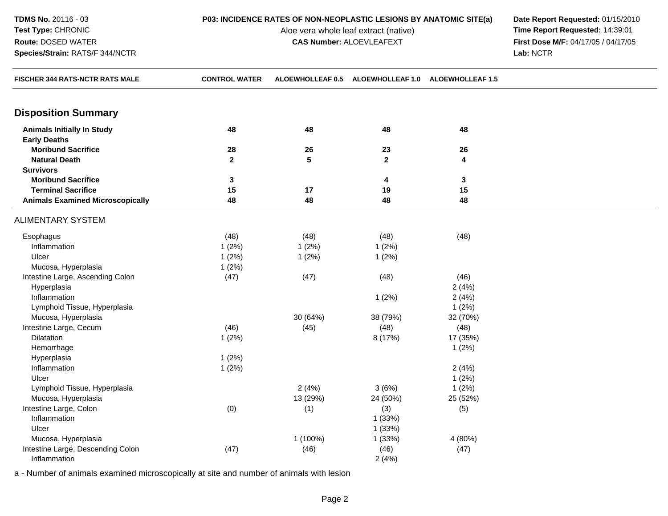Aloe vera whole leaf extract (native)<br>**CAS Number:** ALOEVLEAFEXT

**P03: INCIDENCE RATES OF NON-NEOPLASTIC LESIONS BY ANATOMIC SITE(a) Date Report Requested: 01/15/2010**<br>Aloe vera whole leaf extract (native) **Time Report Requested: 14:39:01 First Dose M/F:** 04/17/05 / 04/17/05<br>Lab: NCTR **Lab:** NCTR

| FISCHER 344 RATS-NCTR RATS MALE         | <b>CONTROL WATER</b> |                | ALOEWHOLLEAF 0.5 ALOEWHOLLEAF 1.0 ALOEWHOLLEAF 1.5 |              |  |
|-----------------------------------------|----------------------|----------------|----------------------------------------------------|--------------|--|
|                                         |                      |                |                                                    |              |  |
| <b>Disposition Summary</b>              |                      |                |                                                    |              |  |
| <b>Animals Initially In Study</b>       | 48                   | 48             | 48                                                 | 48           |  |
| <b>Early Deaths</b>                     |                      |                |                                                    |              |  |
| <b>Moribund Sacrifice</b>               | 28                   | 26             | 23                                                 | 26           |  |
| <b>Natural Death</b>                    | $\overline{2}$       | $5\phantom{a}$ | $\mathbf{2}$                                       | 4            |  |
| <b>Survivors</b>                        |                      |                |                                                    |              |  |
| <b>Moribund Sacrifice</b>               | 3                    |                | 4                                                  | $\mathbf{3}$ |  |
| <b>Terminal Sacrifice</b>               | 15                   | 17             | 19                                                 | 15           |  |
| <b>Animals Examined Microscopically</b> | 48                   | 48             | 48                                                 | 48           |  |
| <b>ALIMENTARY SYSTEM</b>                |                      |                |                                                    |              |  |
| Esophagus                               | (48)                 | (48)           | (48)                                               | (48)         |  |
| Inflammation                            | 1(2%)                | 1(2%)          | 1(2%)                                              |              |  |
| Ulcer                                   | 1(2%)                | 1(2%)          | 1(2%)                                              |              |  |
| Mucosa, Hyperplasia                     | 1(2%)                |                |                                                    |              |  |
| Intestine Large, Ascending Colon        | (47)                 | (47)           | (48)                                               | (46)         |  |
| Hyperplasia                             |                      |                |                                                    | 2(4%)        |  |
| Inflammation                            |                      |                | 1(2%)                                              | 2(4%)        |  |
| Lymphoid Tissue, Hyperplasia            |                      |                |                                                    | 1(2%)        |  |
| Mucosa, Hyperplasia                     |                      | 30 (64%)       | 38 (79%)                                           | 32 (70%)     |  |
| Intestine Large, Cecum                  | (46)                 | (45)           | (48)                                               | (48)         |  |
| Dilatation                              | 1(2%)                |                | 8 (17%)                                            | 17 (35%)     |  |
| Hemorrhage                              |                      |                |                                                    | 1(2%)        |  |
| Hyperplasia                             | 1(2%)                |                |                                                    |              |  |
| Inflammation                            | 1(2%)                |                |                                                    | 2(4%)        |  |
| Ulcer                                   |                      |                |                                                    | 1(2%)        |  |
| Lymphoid Tissue, Hyperplasia            |                      | 2(4%)          | 3(6%)                                              | 1(2%)        |  |
| Mucosa, Hyperplasia                     |                      | 13 (29%)       | 24 (50%)                                           | 25 (52%)     |  |
| Intestine Large, Colon                  | (0)                  | (1)            | (3)                                                | (5)          |  |
| Inflammation                            |                      |                | 1(33%)                                             |              |  |
| Ulcer                                   |                      |                | 1(33%)                                             |              |  |
| Mucosa, Hyperplasia                     |                      | 1 (100%)       | 1(33%)                                             | 4 (80%)      |  |
| Intestine Large, Descending Colon       | (47)                 | (46)           | (46)                                               | (47)         |  |
| Inflammation                            |                      |                | 2(4%)                                              |              |  |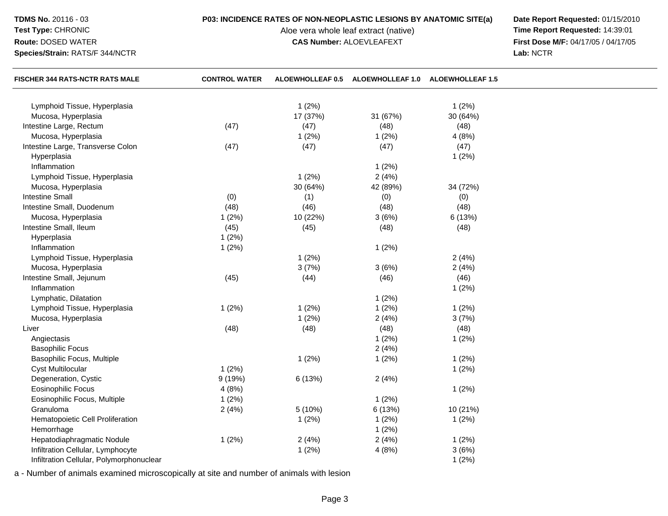### **Test Type:** CHRONIC**Route:** DOSED WATER

**Species/Strain:** RATS/F 344/NCTR

Aloe vera whole leaf extract (native)<br>**CAS Number:** ALOEVLEAFEXT

**P03: INCIDENCE RATES OF NON-NEOPLASTIC LESIONS BY ANATOMIC SITE(a) Date Report Requested: 01/15/2010**<br>Aloe vera whole leaf extract (native) **Time Report Requested: 14:39:01 First Dose M/F:** 04/17/05 / 04/17/05<br>Lab: NCTR **Lab:** NCTR

| FISCHER 344 RATS-NCTR RATS MALE          | <b>CONTROL WATER</b> |          | ALOEWHOLLEAF 0.5 ALOEWHOLLEAF 1.0 ALOEWHOLLEAF 1.5 |          |  |
|------------------------------------------|----------------------|----------|----------------------------------------------------|----------|--|
| Lymphoid Tissue, Hyperplasia             |                      | 1(2%)    |                                                    | 1(2%)    |  |
| Mucosa, Hyperplasia                      |                      | 17 (37%) | 31 (67%)                                           | 30 (64%) |  |
| Intestine Large, Rectum                  | (47)                 | (47)     | (48)                                               | (48)     |  |
| Mucosa, Hyperplasia                      |                      | 1(2%)    | 1(2%)                                              | 4(8%)    |  |
| Intestine Large, Transverse Colon        | (47)                 | (47)     | (47)                                               | (47)     |  |
| Hyperplasia                              |                      |          |                                                    | 1(2%)    |  |
| Inflammation                             |                      |          | 1(2%)                                              |          |  |
| Lymphoid Tissue, Hyperplasia             |                      | 1(2%)    | 2(4%)                                              |          |  |
| Mucosa, Hyperplasia                      |                      | 30 (64%) | 42 (89%)                                           | 34 (72%) |  |
| <b>Intestine Small</b>                   | (0)                  | (1)      | (0)                                                | (0)      |  |
| Intestine Small, Duodenum                | (48)                 | (46)     | (48)                                               | (48)     |  |
| Mucosa, Hyperplasia                      | 1(2%)                | 10 (22%) | 3(6%)                                              | 6 (13%)  |  |
| Intestine Small, Ileum                   | (45)                 | (45)     | (48)                                               | (48)     |  |
| Hyperplasia                              | 1(2%)                |          |                                                    |          |  |
| Inflammation                             | 1(2%)                |          | 1(2%)                                              |          |  |
| Lymphoid Tissue, Hyperplasia             |                      | 1(2%)    |                                                    | 2(4%)    |  |
| Mucosa, Hyperplasia                      |                      | 3(7%)    | 3(6%)                                              | 2(4%)    |  |
| Intestine Small, Jejunum                 | (45)                 | (44)     | (46)                                               | (46)     |  |
| Inflammation                             |                      |          |                                                    | 1(2%)    |  |
| Lymphatic, Dilatation                    |                      |          | 1(2%)                                              |          |  |
| Lymphoid Tissue, Hyperplasia             | 1(2%)                | 1(2%)    | 1(2%)                                              | 1(2%)    |  |
| Mucosa, Hyperplasia                      |                      | 1(2%)    | 2(4%)                                              | 3(7%)    |  |
| Liver                                    | (48)                 | (48)     | (48)                                               | (48)     |  |
| Angiectasis                              |                      |          | 1(2%)                                              | 1(2%)    |  |
| <b>Basophilic Focus</b>                  |                      |          | 2(4%)                                              |          |  |
| Basophilic Focus, Multiple               |                      | 1(2%)    | 1(2%)                                              | 1(2%)    |  |
| <b>Cyst Multilocular</b>                 | 1(2%)                |          |                                                    | 1(2%)    |  |
| Degeneration, Cystic                     | 9(19%)               | 6 (13%)  | 2(4%)                                              |          |  |
| Eosinophilic Focus                       | 4(8%)                |          |                                                    | 1(2%)    |  |
| Eosinophilic Focus, Multiple             | 1(2%)                |          | 1(2%)                                              |          |  |
| Granuloma                                | 2(4%)                | 5 (10%)  | 6 (13%)                                            | 10 (21%) |  |
| Hematopoietic Cell Proliferation         |                      | 1(2%)    | 1(2%)                                              | 1(2%)    |  |
| Hemorrhage                               |                      |          | 1(2%)                                              |          |  |
| Hepatodiaphragmatic Nodule               | 1(2%)                | 2(4%)    | 2(4%)                                              | 1(2%)    |  |
| Infiltration Cellular, Lymphocyte        |                      | 1(2%)    | 4(8%)                                              | 3(6%)    |  |
| Infiltration Cellular, Polymorphonuclear |                      |          |                                                    | 1(2%)    |  |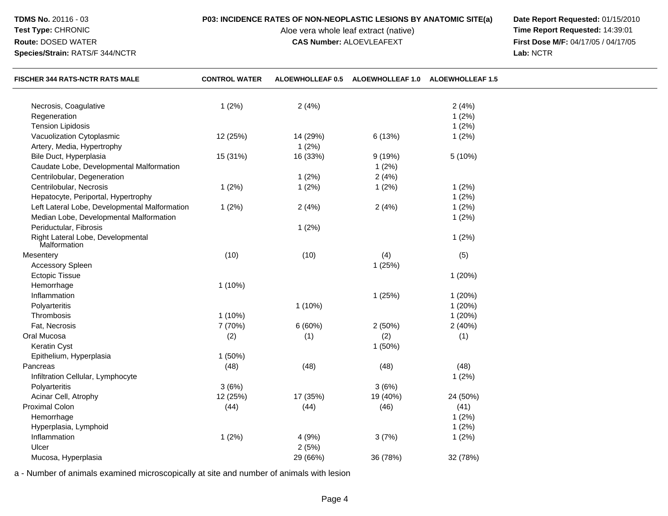### **Test Type:** CHRONIC

## **Route:** DOSED WATER

**Species/Strain:** RATS/F 344/NCTR

# **P03: INCIDENCE RATES OF NON-NEOPLASTIC LESIONS BY ANATOMIC SITE(a) Date Report Requested: 01/15/2010**<br>Aloe vera whole leaf extract (native) **Time Report Requested: 14:39:01**

Aloe vera whole leaf extract (native)<br>**CAS Number:** ALOEVLEAFEXT

**First Dose M/F:** 04/17/05 / 04/17/05<br>Lab: NCTR **Lab:** NCTR

| FISCHER 344 RATS-NCTR RATS MALE                   | <b>CONTROL WATER</b> | <b>ALOEWHOLLEAF 0.5</b> | <b>ALOEWHOLLEAF 1.0</b> | <b>ALOEWHOLLEAF 1.5</b> |  |
|---------------------------------------------------|----------------------|-------------------------|-------------------------|-------------------------|--|
| Necrosis, Coagulative                             | 1(2%)                | 2(4%)                   |                         | 2(4%)                   |  |
| Regeneration                                      |                      |                         |                         | 1(2%)                   |  |
| <b>Tension Lipidosis</b>                          |                      |                         |                         | 1(2%)                   |  |
| Vacuolization Cytoplasmic                         | 12 (25%)             | 14 (29%)                | 6 (13%)                 | 1(2%)                   |  |
| Artery, Media, Hypertrophy                        |                      | $1(2\%)$                |                         |                         |  |
| Bile Duct, Hyperplasia                            | 15 (31%)             | 16 (33%)                | 9(19%)                  | 5(10%)                  |  |
| Caudate Lobe, Developmental Malformation          |                      |                         | 1(2%)                   |                         |  |
| Centrilobular, Degeneration                       |                      | 1(2%)                   | 2(4%)                   |                         |  |
| Centrilobular, Necrosis                           | 1(2%)                | 1(2%)                   | 1(2%)                   | 1(2%)                   |  |
| Hepatocyte, Periportal, Hypertrophy               |                      |                         |                         | 1(2%)                   |  |
| Left Lateral Lobe, Developmental Malformation     | 1(2%)                | 2(4%)                   | 2(4%)                   | 1(2%)                   |  |
| Median Lobe, Developmental Malformation           |                      |                         |                         | 1(2%)                   |  |
| Periductular, Fibrosis                            |                      | 1(2%)                   |                         |                         |  |
| Right Lateral Lobe, Developmental<br>Malformation |                      |                         |                         | 1(2%)                   |  |
| Mesentery                                         | (10)                 | (10)                    | (4)                     | (5)                     |  |
| <b>Accessory Spleen</b>                           |                      |                         | 1(25%)                  |                         |  |
| <b>Ectopic Tissue</b>                             |                      |                         |                         | 1(20%)                  |  |
| Hemorrhage                                        | 1(10%)               |                         |                         |                         |  |
| Inflammation                                      |                      |                         | 1(25%)                  | 1(20%)                  |  |
| Polyarteritis                                     |                      | $1(10\%)$               |                         | 1(20%)                  |  |
| Thrombosis                                        | $1(10\%)$            |                         |                         | 1(20%)                  |  |
| Fat, Necrosis                                     | 7 (70%)              | 6(60%)                  | 2(50%)                  | 2(40%)                  |  |
| Oral Mucosa                                       | (2)                  | (1)                     | (2)                     | (1)                     |  |
| Keratin Cyst                                      |                      |                         | 1(50%)                  |                         |  |
| Epithelium, Hyperplasia                           | 1 (50%)              |                         |                         |                         |  |
| Pancreas                                          | (48)                 | (48)                    | (48)                    | (48)                    |  |
| Infiltration Cellular, Lymphocyte                 |                      |                         |                         | 1(2%)                   |  |
| Polyarteritis                                     | 3(6%)                |                         | 3(6%)                   |                         |  |
| Acinar Cell, Atrophy                              | 12 (25%)             | 17 (35%)                | 19 (40%)                | 24 (50%)                |  |
| <b>Proximal Colon</b>                             | (44)                 | (44)                    | (46)                    | (41)                    |  |
| Hemorrhage                                        |                      |                         |                         | 1(2%)                   |  |
| Hyperplasia, Lymphoid                             |                      |                         |                         | 1(2%)                   |  |
| Inflammation                                      | 1(2%)                | 4(9%)                   | 3(7%)                   | 1(2%)                   |  |
| Ulcer                                             |                      | 2(5%)                   |                         |                         |  |
| Mucosa, Hyperplasia                               |                      | 29 (66%)                | 36 (78%)                | 32 (78%)                |  |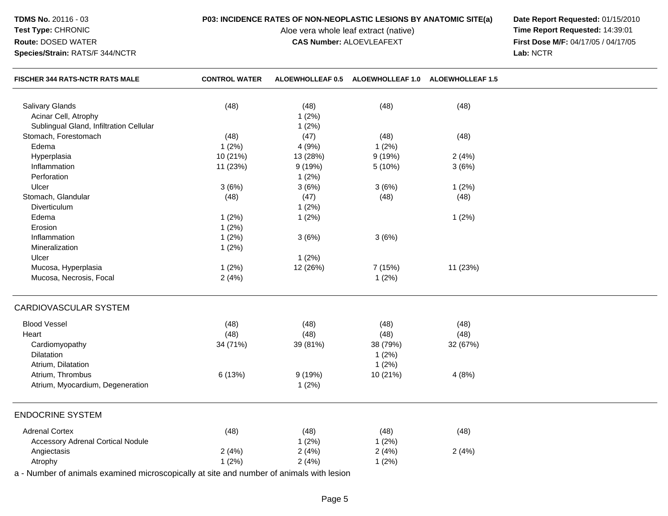### **Test Type:** CHRONIC**Route:** DOSED WATER

**Species/Strain:** RATS/F 344/NCTR

Aloe vera whole leaf extract (native)<br>**CAS Number:** ALOEVLEAFEXT

**P03: INCIDENCE RATES OF NON-NEOPLASTIC LESIONS BY ANATOMIC SITE(a) Date Report Requested: 01/15/2010**<br>Aloe vera whole leaf extract (native) **Time Report Requested: 14:39:01 First Dose M/F:** 04/17/05 / 04/17/05<br>Lab: NCTR **Lab:** NCTR

| FISCHER 344 RATS-NCTR RATS MALE                                   | <b>CONTROL WATER</b> |                                 | ALOEWHOLLEAF 0.5 ALOEWHOLLEAF 1.0 ALOEWHOLLEAF 1.5 |          |  |
|-------------------------------------------------------------------|----------------------|---------------------------------|----------------------------------------------------|----------|--|
| Salivary Glands                                                   | (48)                 | (48)                            | (48)                                               | (48)     |  |
| Acinar Cell, Atrophy                                              |                      | 1(2%)                           |                                                    |          |  |
| Sublingual Gland, Infiltration Cellular                           |                      | 1(2%)                           |                                                    |          |  |
| Stomach, Forestomach                                              | (48)                 | (47)                            | (48)                                               | (48)     |  |
| Edema                                                             | 1(2%)                | 4 (9%)                          | 1(2%)                                              |          |  |
| Hyperplasia                                                       | 10 (21%)             | 13 (28%)                        | 9(19%)                                             | 2(4%)    |  |
| Inflammation                                                      | 11 (23%)             | 9(19%)                          | 5 (10%)                                            | 3(6%)    |  |
| Perforation                                                       |                      | 1(2%)                           |                                                    |          |  |
| Ulcer                                                             | 3(6%)                | 3(6%)                           | 3(6%)                                              | 1(2%)    |  |
| Stomach, Glandular                                                | (48)                 | (47)                            | (48)                                               | (48)     |  |
| Diverticulum                                                      |                      | 1(2%)                           |                                                    |          |  |
| Edema                                                             | 1(2%)                | 1(2%)                           |                                                    | 1(2%)    |  |
| Erosion                                                           | 1(2%)                |                                 |                                                    |          |  |
| Inflammation                                                      | 1(2%)                | 3(6%)                           | 3(6%)                                              |          |  |
| Mineralization                                                    | 1(2%)                |                                 |                                                    |          |  |
| Ulcer                                                             |                      | 1(2%)                           |                                                    |          |  |
| Mucosa, Hyperplasia                                               | 1(2%)                | 12 (26%)                        | 7 (15%)                                            | 11 (23%) |  |
| Mucosa, Necrosis, Focal                                           | 2(4%)                |                                 | 1(2%)                                              |          |  |
| <b>CARDIOVASCULAR SYSTEM</b>                                      |                      |                                 |                                                    |          |  |
| <b>Blood Vessel</b>                                               | (48)                 | (48)                            | (48)                                               | (48)     |  |
| Heart                                                             | (48)                 | (48)                            | (48)                                               | (48)     |  |
| Cardiomyopathy                                                    | 34 (71%)             | 39 (81%)                        | 38 (79%)                                           | 32 (67%) |  |
| Dilatation                                                        |                      |                                 | 1(2%)                                              |          |  |
| Atrium, Dilatation                                                |                      |                                 | 1(2%)                                              |          |  |
| Atrium, Thrombus                                                  | 6(13%)               | 9(19%)                          | 10 (21%)                                           | 4(8%)    |  |
| Atrium, Myocardium, Degeneration                                  |                      | 1(2%)                           |                                                    |          |  |
|                                                                   |                      |                                 |                                                    |          |  |
| <b>ENDOCRINE SYSTEM</b>                                           |                      |                                 |                                                    |          |  |
| <b>Adrenal Cortex</b>                                             | (48)                 | (48)                            | (48)                                               | (48)     |  |
| <b>Accessory Adrenal Cortical Nodule</b>                          |                      | 1(2%)                           | 1(2%)                                              |          |  |
| Angiectasis                                                       | 2(4%)                | 2(4%)                           | 2(4%)                                              | 2(4%)    |  |
| Atrophy                                                           | 1(2%)                | 2(4%)                           | 1(2%)                                              |          |  |
| <b>All contracts of a characterized and a contract of a state</b> |                      | and the control of the state of |                                                    |          |  |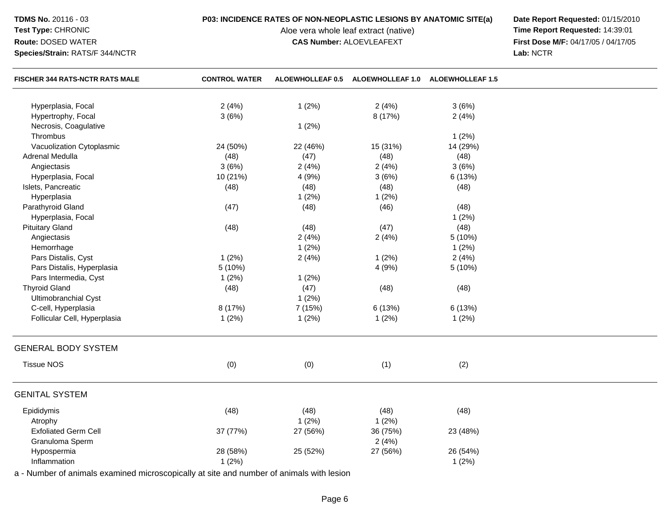### **Test Type:** CHRONIC**Route:** DOSED WATER

**Species/Strain:** RATS/F 344/NCTR

Aloe vera whole leaf extract (native)<br>**CAS Number:** ALOEVLEAFEXT

**P03: INCIDENCE RATES OF NON-NEOPLASTIC LESIONS BY ANATOMIC SITE(a) Date Report Requested: 01/15/2010**<br>Aloe vera whole leaf extract (native) **Time Report Requested: 14:39:01 First Dose M/F:** 04/17/05 / 04/17/05<br>Lab: NCTR **Lab:** NCTR

| 1(2%)<br>Hyperplasia, Focal<br>2(4%)<br>2(4%)<br>3(6%)<br>8 (17%)<br>Hypertrophy, Focal<br>3(6%)<br>2(4%)<br>Necrosis, Coagulative<br>1(2%)<br>Thrombus<br>1(2%)<br>Vacuolization Cytoplasmic<br>14 (29%)<br>24 (50%)<br>22 (46%)<br>15 (31%)<br>Adrenal Medulla<br>(48)<br>(47)<br>(48)<br>(48)<br>3(6%)<br>2(4%)<br>2(4%)<br>3(6%)<br>Angiectasis<br>Hyperplasia, Focal<br>10 (21%)<br>4 (9%)<br>3(6%)<br>6 (13%)<br>Islets, Pancreatic<br>(48)<br>(48)<br>(48)<br>(48)<br>Hyperplasia<br>1(2%)<br>1(2%)<br>Parathyroid Gland<br>(47)<br>(48)<br>(46)<br>(48)<br>Hyperplasia, Focal<br>1(2%)<br><b>Pituitary Gland</b><br>(48)<br>(48)<br>(47)<br>(48)<br>Angiectasis<br>2(4%)<br>2(4%)<br>5 (10%)<br>Hemorrhage<br>1(2%)<br>1(2%)<br>Pars Distalis, Cyst<br>1(2%)<br>2(4%)<br>1(2%)<br>2(4%)<br>Pars Distalis, Hyperplasia<br>5(10%)<br>4(9%)<br>5(10%)<br>Pars Intermedia, Cyst<br>1(2%)<br>1(2%)<br><b>Thyroid Gland</b><br>(48)<br>(47)<br>(48)<br>(48)<br>Ultimobranchial Cyst<br>1(2%)<br>C-cell, Hyperplasia<br>8 (17%)<br>7 (15%)<br>6 (13%)<br>6(13%)<br>Follicular Cell, Hyperplasia<br>1(2%)<br>1(2%)<br>1(2%)<br>1(2%)<br><b>GENERAL BODY SYSTEM</b><br><b>Tissue NOS</b><br>(0)<br>(1)<br>(2)<br>(0)<br><b>GENITAL SYSTEM</b><br>Epididymis<br>(48)<br>(48)<br>(48)<br>(48)<br>1(2%)<br>Atrophy<br>1(2%)<br><b>Exfoliated Germ Cell</b><br>37 (77%)<br>36 (75%)<br>23 (48%)<br>27 (56%)<br>2(4%)<br>Granuloma Sperm<br>Hypospermia<br>28 (58%)<br>25 (52%)<br>27 (56%)<br>26 (54%)<br>Inflammation<br>1(2%)<br>1(2%) | FISCHER 344 RATS-NCTR RATS MALE | <b>CONTROL WATER</b> | ALOEWHOLLEAF 0.5 ALOEWHOLLEAF 1.0 ALOEWHOLLEAF 1.5 |  |
|-------------------------------------------------------------------------------------------------------------------------------------------------------------------------------------------------------------------------------------------------------------------------------------------------------------------------------------------------------------------------------------------------------------------------------------------------------------------------------------------------------------------------------------------------------------------------------------------------------------------------------------------------------------------------------------------------------------------------------------------------------------------------------------------------------------------------------------------------------------------------------------------------------------------------------------------------------------------------------------------------------------------------------------------------------------------------------------------------------------------------------------------------------------------------------------------------------------------------------------------------------------------------------------------------------------------------------------------------------------------------------------------------------------------------------------------------------------------------------------------------------------------------------------|---------------------------------|----------------------|----------------------------------------------------|--|
|                                                                                                                                                                                                                                                                                                                                                                                                                                                                                                                                                                                                                                                                                                                                                                                                                                                                                                                                                                                                                                                                                                                                                                                                                                                                                                                                                                                                                                                                                                                                     |                                 |                      |                                                    |  |
|                                                                                                                                                                                                                                                                                                                                                                                                                                                                                                                                                                                                                                                                                                                                                                                                                                                                                                                                                                                                                                                                                                                                                                                                                                                                                                                                                                                                                                                                                                                                     |                                 |                      |                                                    |  |
|                                                                                                                                                                                                                                                                                                                                                                                                                                                                                                                                                                                                                                                                                                                                                                                                                                                                                                                                                                                                                                                                                                                                                                                                                                                                                                                                                                                                                                                                                                                                     |                                 |                      |                                                    |  |
|                                                                                                                                                                                                                                                                                                                                                                                                                                                                                                                                                                                                                                                                                                                                                                                                                                                                                                                                                                                                                                                                                                                                                                                                                                                                                                                                                                                                                                                                                                                                     |                                 |                      |                                                    |  |
|                                                                                                                                                                                                                                                                                                                                                                                                                                                                                                                                                                                                                                                                                                                                                                                                                                                                                                                                                                                                                                                                                                                                                                                                                                                                                                                                                                                                                                                                                                                                     |                                 |                      |                                                    |  |
|                                                                                                                                                                                                                                                                                                                                                                                                                                                                                                                                                                                                                                                                                                                                                                                                                                                                                                                                                                                                                                                                                                                                                                                                                                                                                                                                                                                                                                                                                                                                     |                                 |                      |                                                    |  |
|                                                                                                                                                                                                                                                                                                                                                                                                                                                                                                                                                                                                                                                                                                                                                                                                                                                                                                                                                                                                                                                                                                                                                                                                                                                                                                                                                                                                                                                                                                                                     |                                 |                      |                                                    |  |
|                                                                                                                                                                                                                                                                                                                                                                                                                                                                                                                                                                                                                                                                                                                                                                                                                                                                                                                                                                                                                                                                                                                                                                                                                                                                                                                                                                                                                                                                                                                                     |                                 |                      |                                                    |  |
|                                                                                                                                                                                                                                                                                                                                                                                                                                                                                                                                                                                                                                                                                                                                                                                                                                                                                                                                                                                                                                                                                                                                                                                                                                                                                                                                                                                                                                                                                                                                     |                                 |                      |                                                    |  |
|                                                                                                                                                                                                                                                                                                                                                                                                                                                                                                                                                                                                                                                                                                                                                                                                                                                                                                                                                                                                                                                                                                                                                                                                                                                                                                                                                                                                                                                                                                                                     |                                 |                      |                                                    |  |
|                                                                                                                                                                                                                                                                                                                                                                                                                                                                                                                                                                                                                                                                                                                                                                                                                                                                                                                                                                                                                                                                                                                                                                                                                                                                                                                                                                                                                                                                                                                                     |                                 |                      |                                                    |  |
|                                                                                                                                                                                                                                                                                                                                                                                                                                                                                                                                                                                                                                                                                                                                                                                                                                                                                                                                                                                                                                                                                                                                                                                                                                                                                                                                                                                                                                                                                                                                     |                                 |                      |                                                    |  |
|                                                                                                                                                                                                                                                                                                                                                                                                                                                                                                                                                                                                                                                                                                                                                                                                                                                                                                                                                                                                                                                                                                                                                                                                                                                                                                                                                                                                                                                                                                                                     |                                 |                      |                                                    |  |
|                                                                                                                                                                                                                                                                                                                                                                                                                                                                                                                                                                                                                                                                                                                                                                                                                                                                                                                                                                                                                                                                                                                                                                                                                                                                                                                                                                                                                                                                                                                                     |                                 |                      |                                                    |  |
|                                                                                                                                                                                                                                                                                                                                                                                                                                                                                                                                                                                                                                                                                                                                                                                                                                                                                                                                                                                                                                                                                                                                                                                                                                                                                                                                                                                                                                                                                                                                     |                                 |                      |                                                    |  |
|                                                                                                                                                                                                                                                                                                                                                                                                                                                                                                                                                                                                                                                                                                                                                                                                                                                                                                                                                                                                                                                                                                                                                                                                                                                                                                                                                                                                                                                                                                                                     |                                 |                      |                                                    |  |
|                                                                                                                                                                                                                                                                                                                                                                                                                                                                                                                                                                                                                                                                                                                                                                                                                                                                                                                                                                                                                                                                                                                                                                                                                                                                                                                                                                                                                                                                                                                                     |                                 |                      |                                                    |  |
|                                                                                                                                                                                                                                                                                                                                                                                                                                                                                                                                                                                                                                                                                                                                                                                                                                                                                                                                                                                                                                                                                                                                                                                                                                                                                                                                                                                                                                                                                                                                     |                                 |                      |                                                    |  |
|                                                                                                                                                                                                                                                                                                                                                                                                                                                                                                                                                                                                                                                                                                                                                                                                                                                                                                                                                                                                                                                                                                                                                                                                                                                                                                                                                                                                                                                                                                                                     |                                 |                      |                                                    |  |
|                                                                                                                                                                                                                                                                                                                                                                                                                                                                                                                                                                                                                                                                                                                                                                                                                                                                                                                                                                                                                                                                                                                                                                                                                                                                                                                                                                                                                                                                                                                                     |                                 |                      |                                                    |  |
|                                                                                                                                                                                                                                                                                                                                                                                                                                                                                                                                                                                                                                                                                                                                                                                                                                                                                                                                                                                                                                                                                                                                                                                                                                                                                                                                                                                                                                                                                                                                     |                                 |                      |                                                    |  |
|                                                                                                                                                                                                                                                                                                                                                                                                                                                                                                                                                                                                                                                                                                                                                                                                                                                                                                                                                                                                                                                                                                                                                                                                                                                                                                                                                                                                                                                                                                                                     |                                 |                      |                                                    |  |
|                                                                                                                                                                                                                                                                                                                                                                                                                                                                                                                                                                                                                                                                                                                                                                                                                                                                                                                                                                                                                                                                                                                                                                                                                                                                                                                                                                                                                                                                                                                                     |                                 |                      |                                                    |  |
|                                                                                                                                                                                                                                                                                                                                                                                                                                                                                                                                                                                                                                                                                                                                                                                                                                                                                                                                                                                                                                                                                                                                                                                                                                                                                                                                                                                                                                                                                                                                     |                                 |                      |                                                    |  |
|                                                                                                                                                                                                                                                                                                                                                                                                                                                                                                                                                                                                                                                                                                                                                                                                                                                                                                                                                                                                                                                                                                                                                                                                                                                                                                                                                                                                                                                                                                                                     |                                 |                      |                                                    |  |
|                                                                                                                                                                                                                                                                                                                                                                                                                                                                                                                                                                                                                                                                                                                                                                                                                                                                                                                                                                                                                                                                                                                                                                                                                                                                                                                                                                                                                                                                                                                                     |                                 |                      |                                                    |  |
|                                                                                                                                                                                                                                                                                                                                                                                                                                                                                                                                                                                                                                                                                                                                                                                                                                                                                                                                                                                                                                                                                                                                                                                                                                                                                                                                                                                                                                                                                                                                     |                                 |                      |                                                    |  |
|                                                                                                                                                                                                                                                                                                                                                                                                                                                                                                                                                                                                                                                                                                                                                                                                                                                                                                                                                                                                                                                                                                                                                                                                                                                                                                                                                                                                                                                                                                                                     |                                 |                      |                                                    |  |
|                                                                                                                                                                                                                                                                                                                                                                                                                                                                                                                                                                                                                                                                                                                                                                                                                                                                                                                                                                                                                                                                                                                                                                                                                                                                                                                                                                                                                                                                                                                                     |                                 |                      |                                                    |  |
|                                                                                                                                                                                                                                                                                                                                                                                                                                                                                                                                                                                                                                                                                                                                                                                                                                                                                                                                                                                                                                                                                                                                                                                                                                                                                                                                                                                                                                                                                                                                     |                                 |                      |                                                    |  |
|                                                                                                                                                                                                                                                                                                                                                                                                                                                                                                                                                                                                                                                                                                                                                                                                                                                                                                                                                                                                                                                                                                                                                                                                                                                                                                                                                                                                                                                                                                                                     |                                 |                      |                                                    |  |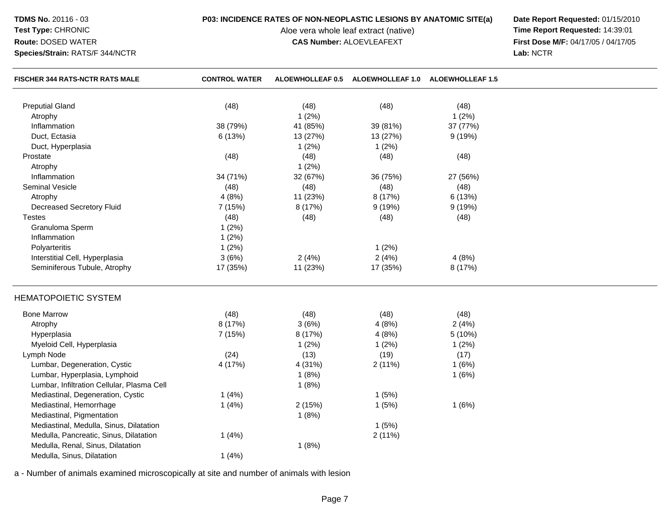# **P03: INCIDENCE RATES OF NON-NEOPLASTIC LESIONS BY ANATOMIC SITE(a) Date Report Requested: 01/15/2010**<br>Aloe vera whole leaf extract (native) **Time Report Requested: 14:39:01**

**Test Type:** CHRONIC**Route:** DOSED WATER

**Species/Strain:** RATS/F 344/NCTR

Aloe vera whole leaf extract (native)<br>**CAS Number:** ALOEVLEAFEXT

**First Dose M/F:** 04/17/05 / 04/17/05<br>Lab: NCTR **Lab:** NCTR

| <b>FISCHER 344 RATS-NCTR RATS MALE</b>     | <b>CONTROL WATER</b> |          | ALOEWHOLLEAF 0.5 ALOEWHOLLEAF 1.0 ALOEWHOLLEAF 1.5 |          |  |
|--------------------------------------------|----------------------|----------|----------------------------------------------------|----------|--|
| <b>Preputial Gland</b>                     | (48)                 | (48)     | (48)                                               | (48)     |  |
| Atrophy                                    |                      | 1(2%)    |                                                    | 1(2%)    |  |
| Inflammation                               | 38 (79%)             | 41 (85%) | 39 (81%)                                           | 37 (77%) |  |
| Duct, Ectasia                              | 6(13%)               | 13 (27%) | 13 (27%)                                           | 9(19%)   |  |
| Duct, Hyperplasia                          |                      | 1(2%)    | 1(2%)                                              |          |  |
| Prostate                                   | (48)                 | (48)     | (48)                                               | (48)     |  |
| Atrophy                                    |                      | 1(2%)    |                                                    |          |  |
| Inflammation                               | 34 (71%)             | 32 (67%) | 36 (75%)                                           | 27 (56%) |  |
| Seminal Vesicle                            | (48)                 | (48)     | (48)                                               | (48)     |  |
| Atrophy                                    | 4(8%)                | 11 (23%) | 8 (17%)                                            | 6 (13%)  |  |
| <b>Decreased Secretory Fluid</b>           | 7 (15%)              | 8 (17%)  | 9(19%)                                             | 9(19%)   |  |
| <b>Testes</b>                              | (48)                 | (48)     | (48)                                               | (48)     |  |
| Granuloma Sperm                            | 1(2%)                |          |                                                    |          |  |
| Inflammation                               | 1(2%)                |          |                                                    |          |  |
| Polyarteritis                              | 1(2%)                |          | 1(2%)                                              |          |  |
| Interstitial Cell, Hyperplasia             | 3(6%)                | 2(4%)    | 2(4%)                                              | 4(8%)    |  |
| Seminiferous Tubule, Atrophy               | 17 (35%)             | 11 (23%) | 17 (35%)                                           | 8 (17%)  |  |
| <b>HEMATOPOIETIC SYSTEM</b>                |                      |          |                                                    |          |  |
| <b>Bone Marrow</b>                         | (48)                 | (48)     | (48)                                               | (48)     |  |
| Atrophy                                    | 8 (17%)              | 3(6%)    | 4(8%)                                              | 2(4%)    |  |
| Hyperplasia                                | 7 (15%)              | 8 (17%)  | 4(8%)                                              | 5(10%)   |  |
| Myeloid Cell, Hyperplasia                  |                      | 1(2%)    | 1(2%)                                              | 1(2%)    |  |
| Lymph Node                                 | (24)                 | (13)     | (19)                                               | (17)     |  |
| Lumbar, Degeneration, Cystic               | 4 (17%)              | 4 (31%)  | 2(11%)                                             | 1(6%)    |  |
| Lumbar, Hyperplasia, Lymphoid              |                      | 1(8%)    |                                                    | 1(6%)    |  |
| Lumbar, Infiltration Cellular, Plasma Cell |                      | 1(8%)    |                                                    |          |  |
| Mediastinal, Degeneration, Cystic          | 1(4%)                |          | 1(5%)                                              |          |  |
| Mediastinal, Hemorrhage                    | 1(4%)                | 2(15%)   | 1(5%)                                              | 1(6%)    |  |
| Mediastinal, Pigmentation                  |                      | 1(8%)    |                                                    |          |  |
| Mediastinal, Medulla, Sinus, Dilatation    |                      |          | 1(5%)                                              |          |  |
| Medulla, Pancreatic, Sinus, Dilatation     | 1(4%)                |          | 2(11%)                                             |          |  |
| Medulla, Renal, Sinus, Dilatation          |                      | 1(8%)    |                                                    |          |  |
| Medulla, Sinus, Dilatation                 | 1(4%)                |          |                                                    |          |  |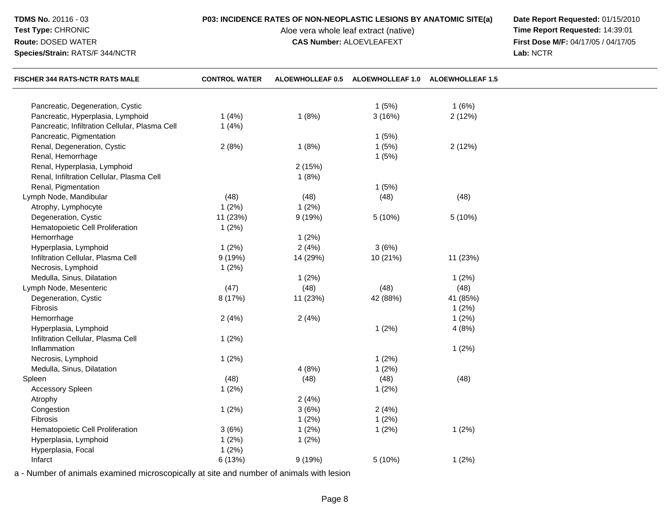### **Test Type:** CHRONIC

### **Route:** DOSED WATER

**Species/Strain:** RATS/F 344/NCTR

# **P03: INCIDENCE RATES OF NON-NEOPLASTIC LESIONS BY ANATOMIC SITE(a) Date Report Requested: 01/15/2010**<br>Aloe vera whole leaf extract (native) **Time Report Requested: 14:39:01**

Aloe vera whole leaf extract (native)<br>**CAS Number:** ALOEVLEAFEXT

**First Dose M/F:** 04/17/05 / 04/17/05<br>Lab: NCTR **Lab:** NCTR

| <b>FISCHER 344 RATS-NCTR RATS MALE</b>         | <b>CONTROL WATER</b> |          | ALOEWHOLLEAF 0.5 ALOEWHOLLEAF 1.0 ALOEWHOLLEAF 1.5 |          |  |
|------------------------------------------------|----------------------|----------|----------------------------------------------------|----------|--|
| Pancreatic, Degeneration, Cystic               |                      |          | 1(5%)                                              | 1(6%)    |  |
| Pancreatic, Hyperplasia, Lymphoid              | 1(4%)                | 1(8%)    | 3(16%)                                             | 2(12%)   |  |
| Pancreatic, Infiltration Cellular, Plasma Cell | 1(4%)                |          |                                                    |          |  |
| Pancreatic, Pigmentation                       |                      |          | 1(5%)                                              |          |  |
| Renal, Degeneration, Cystic                    | 2(8%)                | 1(8%)    | 1(5%)                                              | 2(12%)   |  |
| Renal, Hemorrhage                              |                      |          | 1(5%)                                              |          |  |
| Renal, Hyperplasia, Lymphoid                   |                      | 2(15%)   |                                                    |          |  |
| Renal, Infiltration Cellular, Plasma Cell      |                      | 1(8%)    |                                                    |          |  |
| Renal, Pigmentation                            |                      |          | 1(5%)                                              |          |  |
| Lymph Node, Mandibular                         | (48)                 | (48)     | (48)                                               | (48)     |  |
| Atrophy, Lymphocyte                            | 1(2%)                | 1(2%)    |                                                    |          |  |
| Degeneration, Cystic                           | 11 (23%)             | 9(19%)   | 5(10%)                                             | 5(10%)   |  |
| Hematopoietic Cell Proliferation               | 1(2%)                |          |                                                    |          |  |
| Hemorrhage                                     |                      | 1(2%)    |                                                    |          |  |
| Hyperplasia, Lymphoid                          | 1(2%)                | 2(4%)    | 3(6%)                                              |          |  |
| Infiltration Cellular, Plasma Cell             | 9(19%)               | 14 (29%) | 10 (21%)                                           | 11 (23%) |  |
| Necrosis, Lymphoid                             | 1(2%)                |          |                                                    |          |  |
| Medulla, Sinus, Dilatation                     |                      | 1(2%)    |                                                    | 1(2%)    |  |
| Lymph Node, Mesenteric                         | (47)                 | (48)     | (48)                                               | (48)     |  |
| Degeneration, Cystic                           | 8 (17%)              | 11 (23%) | 42 (88%)                                           | 41 (85%) |  |
| Fibrosis                                       |                      |          |                                                    | 1(2%)    |  |
| Hemorrhage                                     | 2(4%)                | 2(4%)    |                                                    | 1(2%)    |  |
| Hyperplasia, Lymphoid                          |                      |          | 1(2%)                                              | 4(8%)    |  |
| Infiltration Cellular, Plasma Cell             | 1(2%)                |          |                                                    |          |  |
| Inflammation                                   |                      |          |                                                    | 1(2%)    |  |
| Necrosis, Lymphoid                             | 1(2%)                |          | 1(2%)                                              |          |  |
| Medulla, Sinus, Dilatation                     |                      | 4(8%)    | 1(2%)                                              |          |  |
| Spleen                                         | (48)                 | (48)     | (48)                                               | (48)     |  |
| <b>Accessory Spleen</b>                        | 1(2%)                |          | 1(2%)                                              |          |  |
| Atrophy                                        |                      | 2(4%)    |                                                    |          |  |
| Congestion                                     | 1(2%)                | 3(6%)    | 2(4%)                                              |          |  |
| Fibrosis                                       |                      | 1(2%)    | 1(2%)                                              |          |  |
| Hematopoietic Cell Proliferation               | 3(6%)                | 1(2%)    | 1(2%)                                              | 1(2%)    |  |
| Hyperplasia, Lymphoid                          | 1(2%)                | 1(2%)    |                                                    |          |  |
| Hyperplasia, Focal                             | 1(2%)                |          |                                                    |          |  |
| Infarct                                        | 6(13%)               | 9(19%)   | 5(10%)                                             | 1(2%)    |  |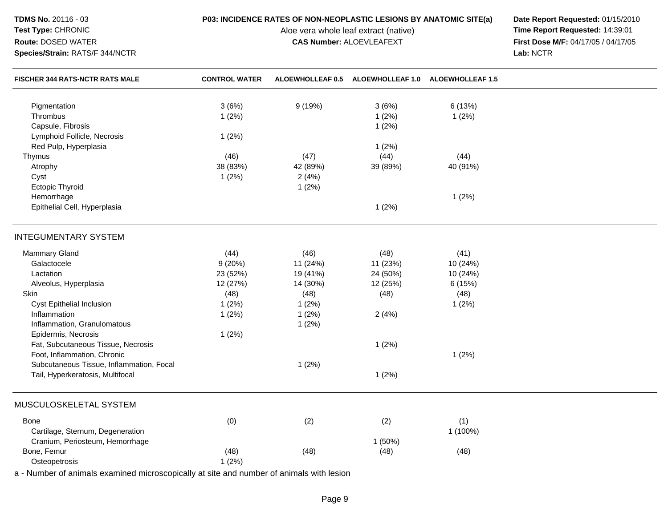| TDMS No. 20116 - 03<br>Test Type: CHRONIC             |                      | P03: INCIDENCE RATES OF NON-NEOPLASTIC LESIONS BY ANATOMIC SITE(a)<br>Aloe vera whole leaf extract (native) | Date Report Requested: 01/15/2010<br>Time Report Requested: 14:39:01<br>First Dose M/F: 04/17/05 / 04/17/05<br>Lab: NCTR |                         |  |
|-------------------------------------------------------|----------------------|-------------------------------------------------------------------------------------------------------------|--------------------------------------------------------------------------------------------------------------------------|-------------------------|--|
| Route: DOSED WATER<br>Species/Strain: RATS/F 344/NCTR |                      | <b>CAS Number: ALOEVLEAFEXT</b>                                                                             |                                                                                                                          |                         |  |
| FISCHER 344 RATS-NCTR RATS MALE                       | <b>CONTROL WATER</b> | <b>ALOEWHOLLEAF 0.5</b>                                                                                     | <b>ALOEWHOLLEAF 1.0</b>                                                                                                  | <b>ALOEWHOLLEAF 1.5</b> |  |
| Pigmentation                                          | 3(6%)                | 9(19%)                                                                                                      | 3(6%)                                                                                                                    | 6(13%)                  |  |
| Thrombus                                              | 1(2%)                |                                                                                                             | 1(2%)                                                                                                                    | 1(2%)                   |  |
| Capsule, Fibrosis                                     |                      |                                                                                                             | 1(2%)                                                                                                                    |                         |  |
| Lymphoid Follicle, Necrosis                           | 1(2%)                |                                                                                                             |                                                                                                                          |                         |  |
| Red Pulp, Hyperplasia                                 |                      |                                                                                                             | 1(2%)                                                                                                                    |                         |  |
| Thymus                                                | (46)                 | (47)                                                                                                        | (44)                                                                                                                     | (44)                    |  |
| Atrophy                                               | 38 (83%)             | 42 (89%)                                                                                                    | 39 (89%)                                                                                                                 | 40 (91%)                |  |
| Cyst                                                  | 1(2%)                | 2(4%)                                                                                                       |                                                                                                                          |                         |  |
| <b>Ectopic Thyroid</b>                                |                      | 1(2%)                                                                                                       |                                                                                                                          |                         |  |
| Hemorrhage                                            |                      |                                                                                                             |                                                                                                                          | 1(2%)                   |  |
| Epithelial Cell, Hyperplasia                          |                      |                                                                                                             | 1(2%)                                                                                                                    |                         |  |
| <b>INTEGUMENTARY SYSTEM</b>                           |                      |                                                                                                             |                                                                                                                          |                         |  |
| <b>Mammary Gland</b>                                  | (44)                 | (46)                                                                                                        | (48)                                                                                                                     | (41)                    |  |
| Galactocele                                           | 9(20%)               | 11 (24%)                                                                                                    | 11 (23%)                                                                                                                 | 10 (24%)                |  |
| Lactation                                             | 23 (52%)             | 19 (41%)                                                                                                    | 24 (50%)                                                                                                                 | 10 (24%)                |  |
| Alveolus, Hyperplasia                                 | 12 (27%)             | 14 (30%)                                                                                                    | 12 (25%)                                                                                                                 | 6(15%)                  |  |
| Skin                                                  | (48)                 | (48)                                                                                                        | (48)                                                                                                                     | (48)                    |  |
| Cyst Epithelial Inclusion                             | 1(2%)                | 1(2%)                                                                                                       |                                                                                                                          | 1(2%)                   |  |
| Inflammation                                          | 1(2%)                | 1(2%)                                                                                                       | 2(4%)                                                                                                                    |                         |  |
| Inflammation, Granulomatous                           |                      | 1(2%)                                                                                                       |                                                                                                                          |                         |  |
| Epidermis, Necrosis                                   | 1(2%)                |                                                                                                             |                                                                                                                          |                         |  |
| Fat, Subcutaneous Tissue, Necrosis                    |                      |                                                                                                             | 1(2%)                                                                                                                    |                         |  |
| Foot, Inflammation, Chronic                           |                      |                                                                                                             |                                                                                                                          | 1(2%)                   |  |
| Subcutaneous Tissue, Inflammation, Focal              |                      | 1(2%)                                                                                                       |                                                                                                                          |                         |  |
| Tail, Hyperkeratosis, Multifocal                      |                      |                                                                                                             | 1(2%)                                                                                                                    |                         |  |
| MUSCULOSKELETAL SYSTEM                                |                      |                                                                                                             |                                                                                                                          |                         |  |
| Bone                                                  | (0)                  | (2)                                                                                                         | (2)                                                                                                                      | (1)                     |  |
| Cartilage, Sternum, Degeneration                      |                      |                                                                                                             |                                                                                                                          | 1 (100%)                |  |
|                                                       |                      |                                                                                                             | 1(50%)                                                                                                                   |                         |  |
| Cranium, Periosteum, Hemorrhage<br>Bone, Femur        |                      |                                                                                                             |                                                                                                                          |                         |  |
|                                                       | (48)                 | (48)                                                                                                        | (48)                                                                                                                     | (48)                    |  |
| Osteopetrosis                                         | 1(2%)                |                                                                                                             |                                                                                                                          |                         |  |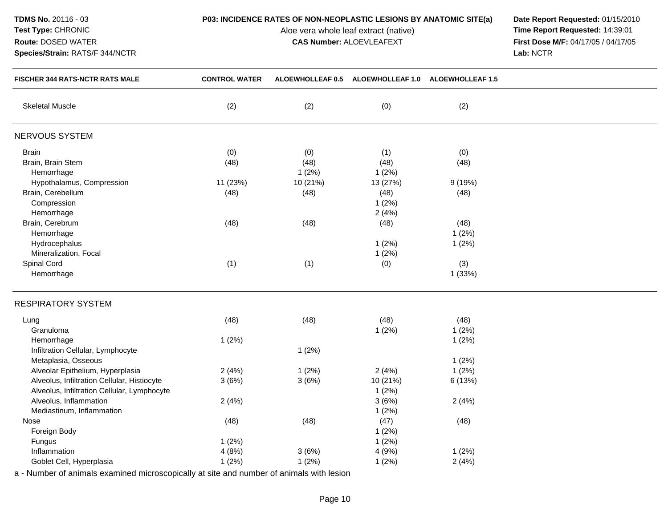**TDMS No.** 20116 - 03**Test Type:** CHRONIC

**Route:** DOSED WATER

**Species/Strain:** RATS/F 344/NCTR

Aloe vera whole leaf extract (native)<br>**CAS Number:** ALOEVLEAFEXT

**P03: INCIDENCE RATES OF NON-NEOPLASTIC LESIONS BY ANATOMIC SITE(a) Date Report Requested: 01/15/2010**<br>Aloe vera whole leaf extract (native) **Time Report Requested: 14:39:01 First Dose M/F:** 04/17/05 / 04/17/05<br>Lab: NCTR **Lab:** NCTR

| <b>FISCHER 344 RATS-NCTR RATS MALE</b>      | <b>CONTROL WATER</b> |          | ALOEWHOLLEAF 0.5 ALOEWHOLLEAF 1.0 ALOEWHOLLEAF 1.5 |         |  |
|---------------------------------------------|----------------------|----------|----------------------------------------------------|---------|--|
| <b>Skeletal Muscle</b>                      | (2)                  | (2)      | (0)                                                | (2)     |  |
| <b>NERVOUS SYSTEM</b>                       |                      |          |                                                    |         |  |
| <b>Brain</b>                                | (0)                  | (0)      | (1)                                                | (0)     |  |
| Brain, Brain Stem                           | (48)                 | (48)     | (48)                                               | (48)    |  |
| Hemorrhage                                  |                      | 1(2%)    | 1(2%)                                              |         |  |
| Hypothalamus, Compression                   | 11 (23%)             | 10 (21%) | 13 (27%)                                           | 9(19%)  |  |
| Brain, Cerebellum                           | (48)                 | (48)     | (48)                                               | (48)    |  |
| Compression                                 |                      |          | 1(2%)                                              |         |  |
| Hemorrhage                                  |                      |          | 2(4%)                                              |         |  |
| Brain, Cerebrum                             | (48)                 | (48)     | (48)                                               | (48)    |  |
| Hemorrhage                                  |                      |          |                                                    | 1(2%)   |  |
| Hydrocephalus                               |                      |          | 1(2%)                                              | 1(2%)   |  |
| Mineralization, Focal                       |                      |          | 1(2%)                                              |         |  |
| Spinal Cord                                 | (1)                  | (1)      | (0)                                                | (3)     |  |
| Hemorrhage                                  |                      |          |                                                    | 1(33%)  |  |
| RESPIRATORY SYSTEM                          |                      |          |                                                    |         |  |
| Lung                                        | (48)                 | (48)     | (48)                                               | (48)    |  |
| Granuloma                                   |                      |          | 1(2%)                                              | 1(2%)   |  |
| Hemorrhage                                  | 1(2%)                |          |                                                    | 1(2%)   |  |
| Infiltration Cellular, Lymphocyte           |                      | 1(2%)    |                                                    |         |  |
| Metaplasia, Osseous                         |                      |          |                                                    | 1(2%)   |  |
| Alveolar Epithelium, Hyperplasia            | 2(4%)                | 1(2%)    | 2(4%)                                              | 1(2%)   |  |
| Alveolus, Infiltration Cellular, Histiocyte | 3(6%)                | 3(6%)    | 10 (21%)                                           | 6 (13%) |  |
| Alveolus, Infiltration Cellular, Lymphocyte |                      |          | 1(2%)                                              |         |  |
| Alveolus, Inflammation                      | 2(4%)                |          | 3(6%)                                              | 2(4%)   |  |
| Mediastinum, Inflammation                   |                      |          | 1(2%)                                              |         |  |
| Nose                                        | (48)                 | (48)     | (47)                                               | (48)    |  |
| Foreign Body                                |                      |          | 1(2%)                                              |         |  |
| Fungus                                      | 1(2%)                |          | 1(2%)                                              |         |  |
| Inflammation                                | 4(8%)                | 3(6%)    | 4(9%)                                              | 1(2%)   |  |
| Goblet Cell, Hyperplasia                    | 1(2%)                | 1(2%)    | 1(2%)                                              | 2(4%)   |  |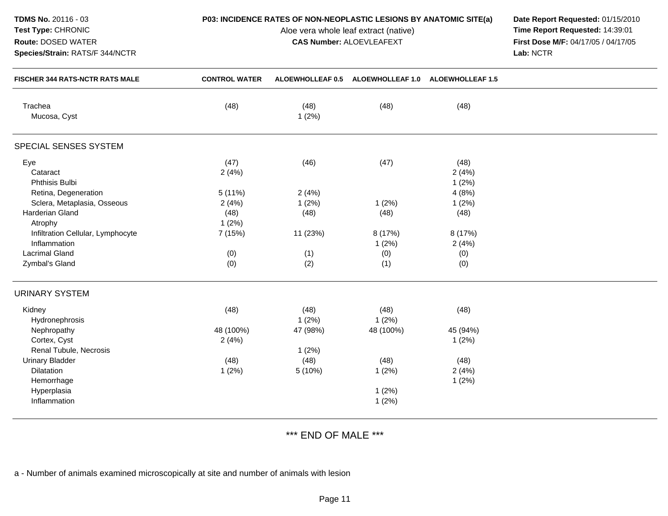| <b>TDMS No. 20116 - 03</b><br>Test Type: CHRONIC<br>Route: DOSED WATER<br>Species/Strain: RATS/F 344/NCTR | P03: INCIDENCE RATES OF NON-NEOPLASTIC LESIONS BY ANATOMIC SITE(a) | Date Report Requested: 01/15/2010<br>Time Report Requested: 14:39:01<br>First Dose M/F: 04/17/05 / 04/17/05<br>Lab: NCTR |                                   |                         |  |
|-----------------------------------------------------------------------------------------------------------|--------------------------------------------------------------------|--------------------------------------------------------------------------------------------------------------------------|-----------------------------------|-------------------------|--|
| <b>FISCHER 344 RATS-NCTR RATS MALE</b>                                                                    | <b>CONTROL WATER</b>                                               |                                                                                                                          | ALOEWHOLLEAF 0.5 ALOEWHOLLEAF 1.0 | <b>ALOEWHOLLEAF 1.5</b> |  |
| Trachea<br>Mucosa, Cyst                                                                                   | (48)                                                               | (48)<br>1(2%)                                                                                                            | (48)                              | (48)                    |  |
| SPECIAL SENSES SYSTEM                                                                                     |                                                                    |                                                                                                                          |                                   |                         |  |
| Eye<br>Cataract<br>Phthisis Bulbi                                                                         | (47)<br>2(4%)                                                      | (46)                                                                                                                     | (47)                              | (48)<br>2(4%)<br>1(2%)  |  |
| Retina, Degeneration                                                                                      | 5(11%)                                                             | 2(4%)                                                                                                                    |                                   | 4(8%)                   |  |
| Sclera, Metaplasia, Osseous<br>Harderian Gland<br>Atrophy                                                 | 2(4%)<br>(48)<br>1(2%)                                             | 1(2%)<br>(48)                                                                                                            | 1(2%)<br>(48)                     | 1(2%)<br>(48)           |  |
| Infiltration Cellular, Lymphocyte<br>Inflammation                                                         | 7 (15%)                                                            | 11 (23%)                                                                                                                 | 8 (17%)<br>1(2%)                  | 8 (17%)<br>2(4%)        |  |
| <b>Lacrimal Gland</b><br>Zymbal's Gland                                                                   | (0)<br>(0)                                                         | (1)<br>(2)                                                                                                               | (0)<br>(1)                        | (0)<br>(0)              |  |
| <b>URINARY SYSTEM</b>                                                                                     |                                                                    |                                                                                                                          |                                   |                         |  |
| Kidney<br>Hydronephrosis                                                                                  | (48)                                                               | (48)<br>1(2%)                                                                                                            | (48)<br>1(2%)                     | (48)                    |  |
| Nephropathy<br>Cortex, Cyst<br>Renal Tubule, Necrosis                                                     | 48 (100%)<br>2(4%)                                                 | 47 (98%)<br>1(2%)                                                                                                        | 48 (100%)                         | 45 (94%)<br>1(2%)       |  |
| <b>Urinary Bladder</b>                                                                                    | (48)                                                               | (48)                                                                                                                     | (48)                              | (48)                    |  |
| Dilatation<br>Hemorrhage                                                                                  | 1(2%)                                                              | 5 (10%)                                                                                                                  | 1(2%)                             | 2(4%)<br>1(2%)          |  |
| Hyperplasia<br>Inflammation                                                                               |                                                                    |                                                                                                                          | 1(2%)<br>1(2%)                    |                         |  |

\*\*\* END OF MALE \*\*\*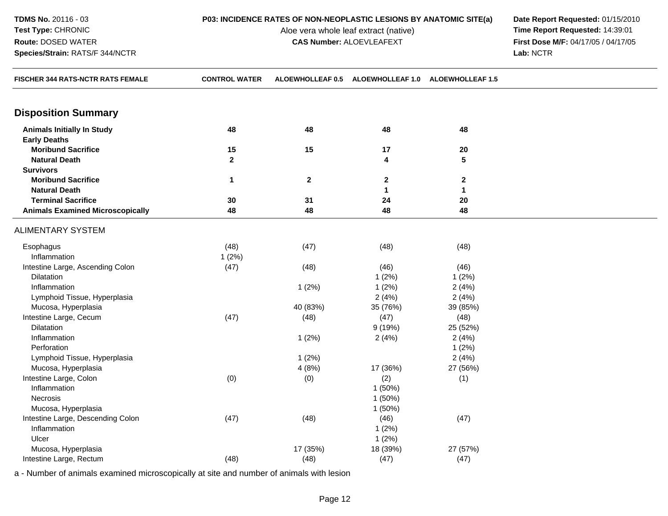Aloe vera whole leaf extract (native)<br>**CAS Number:** ALOEVLEAFEXT

**P03: INCIDENCE RATES OF NON-NEOPLASTIC LESIONS BY ANATOMIC SITE(a) Date Report Requested: 01/15/2010**<br>Aloe vera whole leaf extract (native) **Time Report Requested: 14:39:01 First Dose M/F:** 04/17/05 / 04/17/05<br>Lab: NCTR **Lab:** NCTR

| FISCHER 344 RATS-NCTR RATS FEMALE       | <b>CONTROL WATER</b>    |              | ALOEWHOLLEAF 0.5 ALOEWHOLLEAF 1.0 ALOEWHOLLEAF 1.5 |              |  |
|-----------------------------------------|-------------------------|--------------|----------------------------------------------------|--------------|--|
|                                         |                         |              |                                                    |              |  |
| <b>Disposition Summary</b>              |                         |              |                                                    |              |  |
| <b>Animals Initially In Study</b>       | 48                      | 48           | 48                                                 | 48           |  |
| <b>Early Deaths</b>                     |                         |              |                                                    |              |  |
| <b>Moribund Sacrifice</b>               | 15                      | 15           | 17                                                 | 20           |  |
| <b>Natural Death</b>                    | $\overline{\mathbf{2}}$ |              | 4                                                  | 5            |  |
| <b>Survivors</b>                        |                         |              |                                                    |              |  |
| <b>Moribund Sacrifice</b>               | $\mathbf{1}$            | $\mathbf{2}$ | $\mathbf{2}$                                       | $\mathbf 2$  |  |
| <b>Natural Death</b>                    |                         |              | $\mathbf 1$                                        | $\mathbf{1}$ |  |
| <b>Terminal Sacrifice</b>               | 30                      | 31           | 24                                                 | 20           |  |
| <b>Animals Examined Microscopically</b> | 48                      | 48           | 48                                                 | 48           |  |
| <b>ALIMENTARY SYSTEM</b>                |                         |              |                                                    |              |  |
| Esophagus                               | (48)                    | (47)         | (48)                                               | (48)         |  |
| Inflammation                            | 1(2%)                   |              |                                                    |              |  |
| Intestine Large, Ascending Colon        | (47)                    | (48)         | (46)                                               | (46)         |  |
| Dilatation                              |                         |              | 1(2%)                                              | 1(2%)        |  |
| Inflammation                            |                         | 1(2%)        | 1(2%)                                              | 2(4%)        |  |
| Lymphoid Tissue, Hyperplasia            |                         |              | 2(4%)                                              | 2(4%)        |  |
| Mucosa, Hyperplasia                     |                         | 40 (83%)     | 35 (76%)                                           | 39 (85%)     |  |
| Intestine Large, Cecum                  | (47)                    | (48)         | (47)                                               | (48)         |  |
| Dilatation                              |                         |              | 9(19%)                                             | 25 (52%)     |  |
| Inflammation                            |                         | 1(2%)        | 2(4%)                                              | 2(4%)        |  |
| Perforation                             |                         |              |                                                    | 1(2%)        |  |
| Lymphoid Tissue, Hyperplasia            |                         | 1(2%)        |                                                    | 2(4%)        |  |
| Mucosa, Hyperplasia                     |                         | 4(8%)        | 17 (36%)                                           | 27 (56%)     |  |
| Intestine Large, Colon                  | (0)                     | (0)          | (2)                                                | (1)          |  |
| Inflammation                            |                         |              | 1(50%)                                             |              |  |
| Necrosis                                |                         |              | 1(50%)                                             |              |  |
| Mucosa, Hyperplasia                     |                         |              | 1(50%)                                             |              |  |
| Intestine Large, Descending Colon       | (47)                    | (48)         | (46)                                               | (47)         |  |
| Inflammation                            |                         |              | 1(2%)                                              |              |  |
| Ulcer                                   |                         |              | 1(2%)                                              |              |  |
| Mucosa, Hyperplasia                     |                         | 17 (35%)     | 18 (39%)                                           | 27 (57%)     |  |
| Intestine Large, Rectum                 | (48)                    | (48)         | (47)                                               | (47)         |  |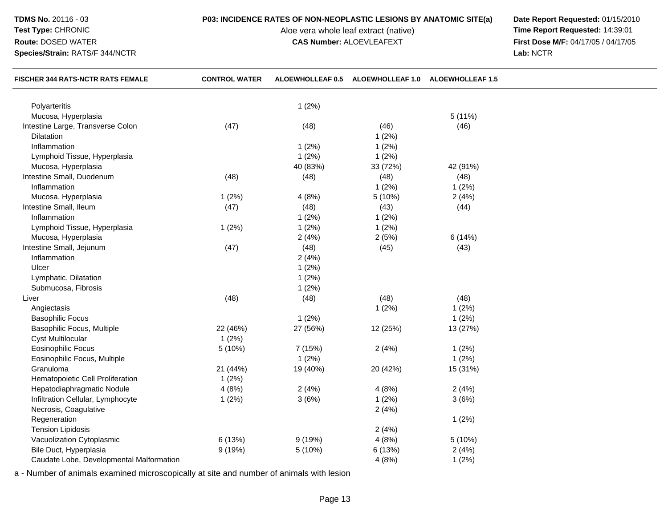### **Test Type:** CHRONIC

### **Route:** DOSED WATER

**Species/Strain:** RATS/F 344/NCTR

# **P03: INCIDENCE RATES OF NON-NEOPLASTIC LESIONS BY ANATOMIC SITE(a) Date Report Requested: 01/15/2010**<br>Aloe vera whole leaf extract (native) **Time Report Requested: 14:39:01**

Aloe vera whole leaf extract (native)<br>**CAS Number:** ALOEVLEAFEXT

**First Dose M/F:** 04/17/05 / 04/17/05<br>Lab: NCTR **Lab:** NCTR

| <b>FISCHER 344 RATS-NCTR RATS FEMALE</b> | <b>CONTROL WATER</b> | <b>ALOEWHOLLEAF 0.5</b> | <b>ALOEWHOLLEAF 1.0</b> | <b>ALOEWHOLLEAF 1.5</b> |  |
|------------------------------------------|----------------------|-------------------------|-------------------------|-------------------------|--|
| Polyarteritis                            |                      | 1(2%)                   |                         |                         |  |
| Mucosa, Hyperplasia                      |                      |                         |                         | 5(11%)                  |  |
| Intestine Large, Transverse Colon        | (47)                 | (48)                    | (46)                    | (46)                    |  |
| Dilatation                               |                      |                         | 1(2%)                   |                         |  |
| Inflammation                             |                      | 1(2%)                   | 1(2%)                   |                         |  |
| Lymphoid Tissue, Hyperplasia             |                      | 1(2%)                   | 1(2%)                   |                         |  |
| Mucosa, Hyperplasia                      |                      | 40 (83%)                | 33 (72%)                | 42 (91%)                |  |
| Intestine Small, Duodenum                | (48)                 | (48)                    | (48)                    | (48)                    |  |
| Inflammation                             |                      |                         | 1(2%)                   | $1(2\%)$                |  |
| Mucosa, Hyperplasia                      | 1(2%)                | 4(8%)                   | 5 (10%)                 | 2(4%)                   |  |
| Intestine Small, Ileum                   | (47)                 | (48)                    | (43)                    | (44)                    |  |
| Inflammation                             |                      | 1(2%)                   | 1(2%)                   |                         |  |
| Lymphoid Tissue, Hyperplasia             | 1(2%)                | 1(2%)                   | 1(2%)                   |                         |  |
| Mucosa, Hyperplasia                      |                      | 2(4%)                   | 2(5%)                   | 6(14%)                  |  |
| Intestine Small, Jejunum                 | (47)                 | (48)                    | (45)                    | (43)                    |  |
| Inflammation                             |                      | 2(4%)                   |                         |                         |  |
| Ulcer                                    |                      | 1(2%)                   |                         |                         |  |
| Lymphatic, Dilatation                    |                      | 1(2%)                   |                         |                         |  |
| Submucosa, Fibrosis                      |                      | 1(2%)                   |                         |                         |  |
| Liver                                    | (48)                 | (48)                    | (48)                    | (48)                    |  |
| Angiectasis                              |                      |                         | 1(2%)                   | $1(2\%)$                |  |
| <b>Basophilic Focus</b>                  |                      | 1(2%)                   |                         | 1(2%)                   |  |
| Basophilic Focus, Multiple               | 22 (46%)             | 27 (56%)                | 12 (25%)                | 13 (27%)                |  |
| <b>Cyst Multilocular</b>                 | $1(2\%)$             |                         |                         |                         |  |
| <b>Eosinophilic Focus</b>                | 5 (10%)              | 7 (15%)                 | 2(4%)                   | 1(2%)                   |  |
| Eosinophilic Focus, Multiple             |                      | 1(2%)                   |                         | 1(2%)                   |  |
| Granuloma                                | 21 (44%)             | 19 (40%)                | 20 (42%)                | 15 (31%)                |  |
| Hematopoietic Cell Proliferation         | 1(2%)                |                         |                         |                         |  |
| Hepatodiaphragmatic Nodule               | 4(8%)                | 2(4%)                   | 4(8%)                   | 2(4%)                   |  |
| Infiltration Cellular, Lymphocyte        | 1(2%)                | 3(6%)                   | 1(2%)                   | 3(6%)                   |  |
| Necrosis, Coagulative                    |                      |                         | 2(4%)                   |                         |  |
| Regeneration                             |                      |                         |                         | 1(2%)                   |  |
| <b>Tension Lipidosis</b>                 |                      |                         | 2(4%)                   |                         |  |
| Vacuolization Cytoplasmic                | 6 (13%)              | 9(19%)                  | 4(8%)                   | 5 (10%)                 |  |
| Bile Duct, Hyperplasia                   | 9(19%)               | 5 (10%)                 | 6 (13%)                 | 2(4%)                   |  |
| Caudate Lobe, Developmental Malformation |                      |                         | 4(8%)                   | 1(2%)                   |  |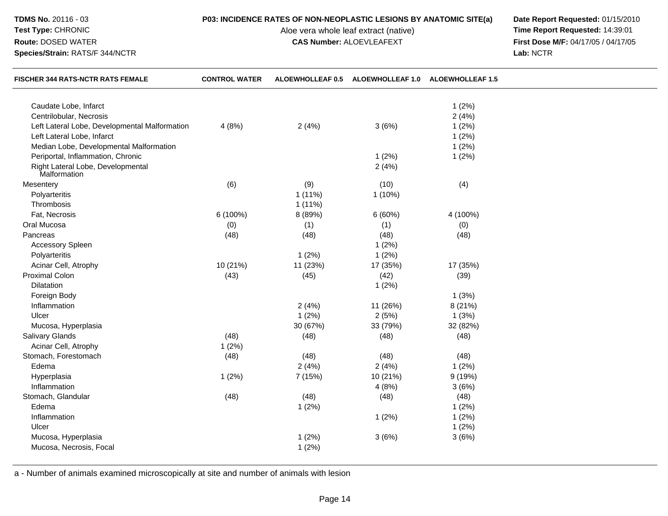**TDMS No.** 20116 - 03**Test Type:** CHRONIC

**Route:** DOSED WATER

**Species/Strain:** RATS/F 344/NCTR

Aloe vera whole leaf extract (native)<br>**CAS Number:** ALOEVLEAFEXT

**P03: INCIDENCE RATES OF NON-NEOPLASTIC LESIONS BY ANATOMIC SITE(a) Date Report Requested: 01/15/2010**<br>Aloe vera whole leaf extract (native) **Time Report Requested: 14:39:01 First Dose M/F:** 04/17/05 / 04/17/05<br>Lab: NCTR **Lab:** NCTR

| <b>FISCHER 344 RATS-NCTR RATS FEMALE</b>          | <b>CONTROL WATER</b> |           | ALOEWHOLLEAF 0.5 ALOEWHOLLEAF 1.0 ALOEWHOLLEAF 1.5 |          |  |
|---------------------------------------------------|----------------------|-----------|----------------------------------------------------|----------|--|
|                                                   |                      |           |                                                    |          |  |
| Caudate Lobe, Infarct                             |                      |           |                                                    | 1(2%)    |  |
| Centrilobular, Necrosis                           |                      |           |                                                    | 2(4%)    |  |
| Left Lateral Lobe, Developmental Malformation     | 4(8%)                | 2(4%)     | 3(6%)                                              | 1(2%)    |  |
| Left Lateral Lobe, Infarct                        |                      |           |                                                    | 1(2%)    |  |
| Median Lobe, Developmental Malformation           |                      |           |                                                    | 1(2%)    |  |
| Periportal, Inflammation, Chronic                 |                      |           | 1(2%)                                              | 1(2%)    |  |
| Right Lateral Lobe, Developmental<br>Malformation |                      |           | 2(4%)                                              |          |  |
| Mesentery                                         | (6)                  | (9)       | (10)                                               | (4)      |  |
| Polyarteritis                                     |                      | $1(11\%)$ | $1(10\%)$                                          |          |  |
| Thrombosis                                        |                      | $1(11\%)$ |                                                    |          |  |
| Fat, Necrosis                                     | 6 (100%)             | 8 (89%)   | 6(60%)                                             | 4 (100%) |  |
| Oral Mucosa                                       | (0)                  | (1)       | (1)                                                | (0)      |  |
| Pancreas                                          | (48)                 | (48)      | (48)                                               | (48)     |  |
| <b>Accessory Spleen</b>                           |                      |           | 1(2%)                                              |          |  |
| Polyarteritis                                     |                      | 1(2%)     | 1(2%)                                              |          |  |
| Acinar Cell, Atrophy                              | 10 (21%)             | 11 (23%)  | 17 (35%)                                           | 17 (35%) |  |
| <b>Proximal Colon</b>                             | (43)                 | (45)      | (42)                                               | (39)     |  |
| Dilatation                                        |                      |           | 1(2%)                                              |          |  |
| Foreign Body                                      |                      |           |                                                    | 1(3%)    |  |
| Inflammation                                      |                      | 2(4%)     | 11 (26%)                                           | 8 (21%)  |  |
| Ulcer                                             |                      | 1(2%)     | 2(5%)                                              | 1(3%)    |  |
| Mucosa, Hyperplasia                               |                      | 30 (67%)  | 33 (79%)                                           | 32 (82%) |  |
| Salivary Glands                                   | (48)                 | (48)      | (48)                                               | (48)     |  |
| Acinar Cell, Atrophy                              | 1(2%)                |           |                                                    |          |  |
| Stomach, Forestomach                              | (48)                 | (48)      | (48)                                               | (48)     |  |
| Edema                                             |                      | 2(4%)     | 2(4%)                                              | 1(2%)    |  |
| Hyperplasia                                       | 1(2%)                | 7 (15%)   | 10 (21%)                                           | 9(19%)   |  |
| Inflammation                                      |                      |           | 4(8%)                                              | 3(6%)    |  |
| Stomach, Glandular                                | (48)                 | (48)      | (48)                                               | (48)     |  |
| Edema                                             |                      | 1(2%)     |                                                    | 1(2%)    |  |
| Inflammation                                      |                      |           | 1(2%)                                              | 1(2%)    |  |
| Ulcer                                             |                      |           |                                                    | 1(2%)    |  |
| Mucosa, Hyperplasia                               |                      | 1(2%)     | 3(6%)                                              | 3(6%)    |  |
| Mucosa, Necrosis, Focal                           |                      | 1(2%)     |                                                    |          |  |
|                                                   |                      |           |                                                    |          |  |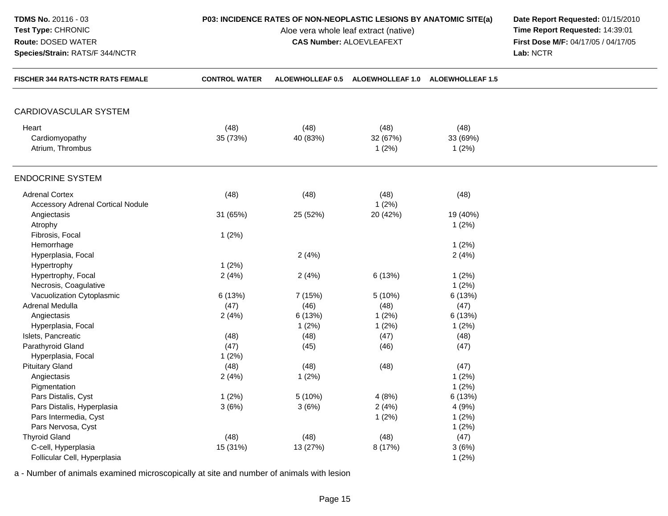| <b>TDMS No. 20116 - 03</b><br><b>Test Type: CHRONIC</b><br>Route: DOSED WATER<br>Species/Strain: RATS/F 344/NCTR | P03: INCIDENCE RATES OF NON-NEOPLASTIC LESIONS BY ANATOMIC SITE(a) | Date Report Requested: 01/15/2010<br>Time Report Requested: 14:39:01<br>First Dose M/F: 04/17/05 / 04/17/05<br>Lab: NCTR |                         |                         |  |
|------------------------------------------------------------------------------------------------------------------|--------------------------------------------------------------------|--------------------------------------------------------------------------------------------------------------------------|-------------------------|-------------------------|--|
| <b>FISCHER 344 RATS-NCTR RATS FEMALE</b>                                                                         | <b>CONTROL WATER</b>                                               | ALOEWHOLLEAF 0.5                                                                                                         | <b>ALOEWHOLLEAF 1.0</b> | <b>ALOEWHOLLEAF 1.5</b> |  |
| CARDIOVASCULAR SYSTEM                                                                                            |                                                                    |                                                                                                                          |                         |                         |  |
| Heart                                                                                                            | (48)                                                               | (48)                                                                                                                     | (48)                    | (48)                    |  |
| Cardiomyopathy                                                                                                   | 35 (73%)                                                           | 40 (83%)                                                                                                                 | 32 (67%)                | 33 (69%)                |  |
| Atrium, Thrombus                                                                                                 |                                                                    |                                                                                                                          | 1(2%)                   | 1(2%)                   |  |
| <b>ENDOCRINE SYSTEM</b>                                                                                          |                                                                    |                                                                                                                          |                         |                         |  |
| <b>Adrenal Cortex</b>                                                                                            | (48)                                                               | (48)                                                                                                                     | (48)                    | (48)                    |  |
| <b>Accessory Adrenal Cortical Nodule</b>                                                                         |                                                                    |                                                                                                                          | 1(2%)                   |                         |  |
| Angiectasis                                                                                                      | 31 (65%)                                                           | 25 (52%)                                                                                                                 | 20 (42%)                | 19 (40%)                |  |
| Atrophy                                                                                                          |                                                                    |                                                                                                                          |                         | 1(2%)                   |  |
| Fibrosis, Focal                                                                                                  | 1(2%)                                                              |                                                                                                                          |                         |                         |  |
| Hemorrhage                                                                                                       |                                                                    |                                                                                                                          |                         | 1(2%)                   |  |
| Hyperplasia, Focal                                                                                               |                                                                    | 2(4%)                                                                                                                    |                         | 2(4%)                   |  |
| Hypertrophy                                                                                                      | 1(2%)                                                              |                                                                                                                          |                         |                         |  |
| Hypertrophy, Focal                                                                                               | 2(4%)                                                              | 2(4%)                                                                                                                    | 6 (13%)                 | 1(2%)                   |  |
| Necrosis, Coagulative                                                                                            |                                                                    |                                                                                                                          |                         | 1(2%)                   |  |
| Vacuolization Cytoplasmic                                                                                        | 6(13%)                                                             | 7 (15%)                                                                                                                  | 5(10%)                  | 6 (13%)                 |  |
| Adrenal Medulla                                                                                                  | (47)                                                               | (46)                                                                                                                     | (48)                    | (47)                    |  |
| Angiectasis                                                                                                      | 2(4%)                                                              | 6 (13%)                                                                                                                  | 1(2%)                   | 6 (13%)                 |  |
| Hyperplasia, Focal                                                                                               |                                                                    | 1(2%)                                                                                                                    | 1(2%)                   | 1(2%)                   |  |
| Islets, Pancreatic                                                                                               | (48)                                                               | (48)                                                                                                                     | (47)                    | (48)                    |  |
| Parathyroid Gland                                                                                                | (47)                                                               | (45)                                                                                                                     | (46)                    | (47)                    |  |
| Hyperplasia, Focal                                                                                               | 1(2%)                                                              |                                                                                                                          |                         |                         |  |
| <b>Pituitary Gland</b>                                                                                           | (48)                                                               | (48)                                                                                                                     | (48)                    | (47)                    |  |
| Angiectasis                                                                                                      | 2(4%)                                                              | 1(2%)                                                                                                                    |                         | 1(2%)                   |  |
| Pigmentation                                                                                                     |                                                                    |                                                                                                                          |                         | 1(2%)                   |  |
| Pars Distalis, Cyst                                                                                              | 1(2%)                                                              | 5 (10%)                                                                                                                  | 4(8%)                   | 6 (13%)                 |  |
| Pars Distalis, Hyperplasia                                                                                       | 3(6%)                                                              | 3(6%)                                                                                                                    | 2(4%)                   | 4 (9%)                  |  |
| Pars Intermedia, Cyst                                                                                            |                                                                    |                                                                                                                          | 1(2%)                   | 1(2%)                   |  |
| Pars Nervosa, Cyst                                                                                               |                                                                    |                                                                                                                          |                         | 1(2%)                   |  |
| <b>Thyroid Gland</b>                                                                                             | (48)                                                               | (48)                                                                                                                     | (48)                    | (47)                    |  |
| C-cell, Hyperplasia                                                                                              | 15 (31%)                                                           | 13 (27%)                                                                                                                 | 8 (17%)                 | 3(6%)                   |  |
| Follicular Cell, Hyperplasia                                                                                     |                                                                    |                                                                                                                          |                         | 1(2%)                   |  |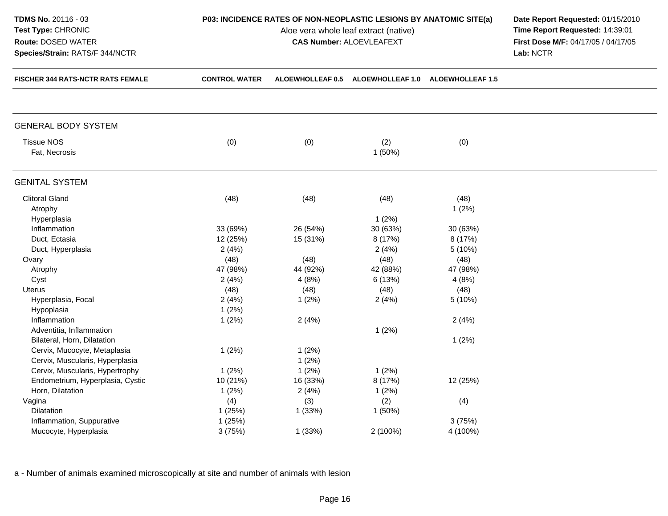| <b>TDMS No. 20116 - 03</b><br>Test Type: CHRONIC<br>Route: DOSED WATER<br>Species/Strain: RATS/F 344/NCTR | <b>P03: INCIDENCE RATES OF NON-NEOPLASTIC LESIONS BY ANATOMIC SITE(a)</b> | Date Report Requested: 01/15/2010<br>Time Report Requested: 14:39:01<br>First Dose M/F: 04/17/05 / 04/17/05<br>Lab: NCTR |                                   |                         |  |
|-----------------------------------------------------------------------------------------------------------|---------------------------------------------------------------------------|--------------------------------------------------------------------------------------------------------------------------|-----------------------------------|-------------------------|--|
| <b>FISCHER 344 RATS-NCTR RATS FEMALE</b>                                                                  | <b>CONTROL WATER</b>                                                      |                                                                                                                          | ALOEWHOLLEAF 0.5 ALOEWHOLLEAF 1.0 | <b>ALOEWHOLLEAF 1.5</b> |  |
| <b>GENERAL BODY SYSTEM</b>                                                                                |                                                                           |                                                                                                                          |                                   |                         |  |
| <b>Tissue NOS</b><br>Fat, Necrosis                                                                        | (0)                                                                       | (0)                                                                                                                      | (2)<br>1(50%)                     | (0)                     |  |
| <b>GENITAL SYSTEM</b>                                                                                     |                                                                           |                                                                                                                          |                                   |                         |  |
| <b>Clitoral Gland</b><br>Atrophy<br>Hyperplasia                                                           | (48)                                                                      | (48)                                                                                                                     | (48)<br>1(2%)                     | (48)<br>1(2%)           |  |
| Inflammation                                                                                              | 33 (69%)                                                                  | 26 (54%)                                                                                                                 | 30 (63%)                          | 30 (63%)                |  |
| Duct, Ectasia                                                                                             | 12 (25%)                                                                  | 15 (31%)                                                                                                                 | 8 (17%)                           | 8 (17%)                 |  |
| Duct, Hyperplasia                                                                                         | 2(4%)                                                                     |                                                                                                                          | 2(4%)                             | 5(10%)                  |  |
| Ovary                                                                                                     | (48)                                                                      | (48)                                                                                                                     | (48)                              | (48)                    |  |
| Atrophy                                                                                                   | 47 (98%)                                                                  | 44 (92%)                                                                                                                 | 42 (88%)                          | 47 (98%)                |  |
| Cyst                                                                                                      | 2(4%)                                                                     | 4(8%)                                                                                                                    | 6(13%)                            | 4(8%)                   |  |
| <b>Uterus</b>                                                                                             | (48)                                                                      | (48)                                                                                                                     | (48)                              | (48)                    |  |
| Hyperplasia, Focal                                                                                        | 2(4%)                                                                     | 1(2%)                                                                                                                    | 2(4%)                             | 5(10%)                  |  |
| Hypoplasia                                                                                                | 1(2%)                                                                     |                                                                                                                          |                                   |                         |  |
| Inflammation                                                                                              | 1(2%)                                                                     | 2(4%)                                                                                                                    |                                   | 2(4%)                   |  |
| Adventitia, Inflammation                                                                                  |                                                                           |                                                                                                                          | 1(2%)                             |                         |  |
| Bilateral, Horn, Dilatation                                                                               |                                                                           |                                                                                                                          |                                   | 1(2%)                   |  |
| Cervix, Mucocyte, Metaplasia                                                                              | 1(2%)                                                                     | 1(2%)                                                                                                                    |                                   |                         |  |
| Cervix, Muscularis, Hyperplasia                                                                           |                                                                           | 1(2%)                                                                                                                    |                                   |                         |  |
| Cervix, Muscularis, Hypertrophy                                                                           | 1(2%)                                                                     | 1(2%)                                                                                                                    | 1(2%)                             |                         |  |
| Endometrium, Hyperplasia, Cystic                                                                          | 10 (21%)                                                                  | 16 (33%)                                                                                                                 | 8 (17%)                           | 12 (25%)                |  |
| Horn, Dilatation                                                                                          | 1(2%)                                                                     | 2(4%)                                                                                                                    | 1(2%)                             |                         |  |
| Vagina                                                                                                    | (4)                                                                       | (3)                                                                                                                      | (2)                               | (4)                     |  |
| Dilatation                                                                                                | 1(25%)                                                                    | 1(33%)                                                                                                                   | 1(50%)                            |                         |  |
| Inflammation, Suppurative                                                                                 | 1(25%)                                                                    |                                                                                                                          |                                   | 3(75%)                  |  |
| Mucocyte, Hyperplasia                                                                                     | 3(75%)                                                                    | 1 (33%)                                                                                                                  | 2 (100%)                          | 4 (100%)                |  |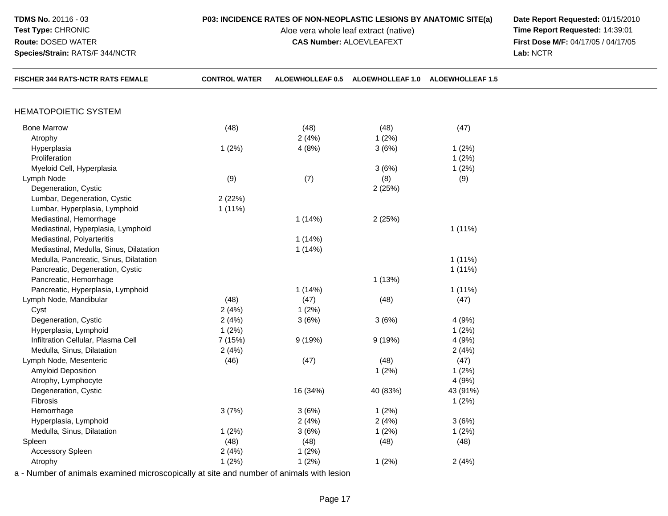Aloe vera whole leaf extract (native)<br>**CAS Number:** ALOEVLEAFEXT

**P03: INCIDENCE RATES OF NON-NEOPLASTIC LESIONS BY ANATOMIC SITE(a) Date Report Requested: 01/15/2010**<br>Aloe vera whole leaf extract (native) **Time Report Requested: 14:39:01 First Dose M/F:** 04/17/05 / 04/17/05<br>Lab: NCTR **Lab:** NCTR

| <b>FISCHER 344 RATS-NCTR RATS FEMALE</b> | <b>CONTROL WATER</b> | ALOEWHOLLEAF 0.5 | <b>ALOEWHOLLEAF 1.0</b> | <b>ALOEWHOLLEAF 1.5</b> |  |
|------------------------------------------|----------------------|------------------|-------------------------|-------------------------|--|
| <b>HEMATOPOIETIC SYSTEM</b>              |                      |                  |                         |                         |  |
| <b>Bone Marrow</b>                       | (48)                 | (48)             | (48)                    | (47)                    |  |
| Atrophy                                  |                      | 2(4%)            | 1(2%)                   |                         |  |
| Hyperplasia                              | 1(2%)                | 4(8%)            | 3(6%)                   | 1(2%)                   |  |
| Proliferation                            |                      |                  |                         | 1(2%)                   |  |
| Myeloid Cell, Hyperplasia                |                      |                  | 3(6%)                   | 1(2%)                   |  |
| Lymph Node                               | (9)                  | (7)              | (8)                     | (9)                     |  |
| Degeneration, Cystic                     |                      |                  | 2(25%)                  |                         |  |
| Lumbar, Degeneration, Cystic             | 2(22%)               |                  |                         |                         |  |
| Lumbar, Hyperplasia, Lymphoid            | $1(11\%)$            |                  |                         |                         |  |
| Mediastinal, Hemorrhage                  |                      | 1(14%)           | 2(25%)                  |                         |  |
| Mediastinal, Hyperplasia, Lymphoid       |                      |                  |                         | 1(11%)                  |  |
| Mediastinal, Polyarteritis               |                      | 1(14%)           |                         |                         |  |
| Mediastinal, Medulla, Sinus, Dilatation  |                      | 1(14%)           |                         |                         |  |
| Medulla, Pancreatic, Sinus, Dilatation   |                      |                  |                         | $1(11\%)$               |  |
| Pancreatic, Degeneration, Cystic         |                      |                  |                         | 1(11%)                  |  |
| Pancreatic, Hemorrhage                   |                      |                  | 1(13%)                  |                         |  |
| Pancreatic, Hyperplasia, Lymphoid        |                      | 1(14%)           |                         | $1(11\%)$               |  |
| Lymph Node, Mandibular                   | (48)                 | (47)             | (48)                    | (47)                    |  |
| Cyst                                     | 2(4%)                | 1(2%)            |                         |                         |  |
| Degeneration, Cystic                     | 2(4%)                | 3(6%)            | 3(6%)                   | 4 (9%)                  |  |
| Hyperplasia, Lymphoid                    | 1(2%)                |                  |                         | 1(2%)                   |  |
| Infiltration Cellular, Plasma Cell       | 7 (15%)              | 9(19%)           | 9(19%)                  | 4 (9%)                  |  |
| Medulla, Sinus, Dilatation               | 2(4%)                |                  |                         | 2(4%)                   |  |
| Lymph Node, Mesenteric                   | (46)                 | (47)             | (48)                    | (47)                    |  |
| Amyloid Deposition                       |                      |                  | 1(2%)                   | 1(2%)                   |  |
| Atrophy, Lymphocyte                      |                      |                  |                         | 4 (9%)                  |  |
| Degeneration, Cystic                     |                      | 16 (34%)         | 40 (83%)                | 43 (91%)                |  |
| Fibrosis                                 |                      |                  |                         | 1(2%)                   |  |
| Hemorrhage                               | 3(7%)                | 3(6%)            | 1(2%)                   |                         |  |
| Hyperplasia, Lymphoid                    |                      | 2(4%)            | 2(4%)                   | 3(6%)                   |  |
| Medulla, Sinus, Dilatation               | 1(2%)                | 3(6%)            | 1(2%)                   | 1(2%)                   |  |
| Spleen                                   | (48)                 | (48)             | (48)                    | (48)                    |  |
| <b>Accessory Spleen</b>                  | 2(4%)                | 1(2%)            |                         |                         |  |
| Atrophy                                  | 1(2%)                | 1(2%)            | 1(2%)                   | 2(4%)                   |  |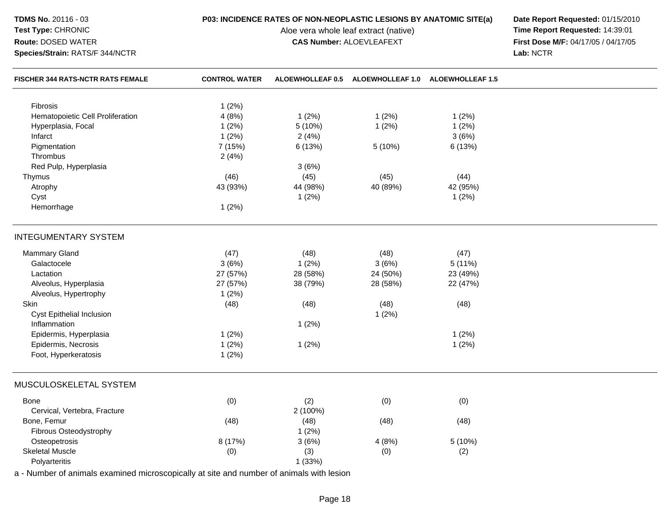| TDMS No. 20116 - 03<br>Test Type: CHRONIC<br>Route: DOSED WATER<br>Species/Strain: RATS/F 344/NCTR | P03: INCIDENCE RATES OF NON-NEOPLASTIC LESIONS BY ANATOMIC SITE(a) | Date Report Requested: 01/15/2010<br>Time Report Requested: 14:39:01<br>First Dose M/F: 04/17/05 / 04/17/05<br>Lab: NCTR |                         |                           |  |
|----------------------------------------------------------------------------------------------------|--------------------------------------------------------------------|--------------------------------------------------------------------------------------------------------------------------|-------------------------|---------------------------|--|
| <b>FISCHER 344 RATS-NCTR RATS FEMALE</b>                                                           | <b>CONTROL WATER</b>                                               | <b>ALOEWHOLLEAF 0.5</b>                                                                                                  | <b>ALOEWHOLLEAF 1.0</b> | <b>ALOEWHOLLEAF 1.5</b>   |  |
| <b>Fibrosis</b><br>Hematopoietic Cell Proliferation<br>Hyperplasia, Focal<br>Infarct               | 1(2%)<br>4(8%)<br>1(2%)<br>1(2%)                                   | 1(2%)<br>5 (10%)<br>2(4%)                                                                                                | 1(2%)<br>1(2%)          | 1(2%)<br>1(2%)<br>3(6%)   |  |
| Pigmentation<br>Thrombus<br>Red Pulp, Hyperplasia                                                  | 7 (15%)<br>2(4%)                                                   | 6(13%)<br>3(6%)                                                                                                          | 5 (10%)                 | 6 (13%)                   |  |
| Thymus<br>Atrophy<br>Cyst<br>Hemorrhage                                                            | (46)<br>43 (93%)<br>1(2%)                                          | (45)<br>44 (98%)<br>1(2%)                                                                                                | (45)<br>40 (89%)        | (44)<br>42 (95%)<br>1(2%) |  |
| <b>INTEGUMENTARY SYSTEM</b>                                                                        |                                                                    |                                                                                                                          |                         |                           |  |
| Mammary Gland                                                                                      | (47)                                                               | (48)                                                                                                                     | (48)                    | (47)                      |  |
| Galactocele                                                                                        | 3(6%)                                                              | 1(2%)                                                                                                                    | 3(6%)                   | 5 (11%)                   |  |
| Lactation                                                                                          | 27 (57%)                                                           | 28 (58%)                                                                                                                 | 24 (50%)                | 23 (49%)                  |  |
| Alveolus, Hyperplasia                                                                              | 27 (57%)                                                           | 38 (79%)                                                                                                                 | 28 (58%)                | 22 (47%)                  |  |
| Alveolus, Hypertrophy                                                                              | 1(2%)                                                              |                                                                                                                          |                         |                           |  |
| Skin                                                                                               | (48)                                                               | (48)                                                                                                                     | (48)                    | (48)                      |  |
| Cyst Epithelial Inclusion<br>Inflammation                                                          |                                                                    | 1(2%)                                                                                                                    | 1(2%)                   |                           |  |
| Epidermis, Hyperplasia                                                                             | 1(2%)                                                              |                                                                                                                          |                         | 1(2%)                     |  |
| Epidermis, Necrosis                                                                                | 1(2%)                                                              | 1(2%)                                                                                                                    |                         | 1(2%)                     |  |
| Foot, Hyperkeratosis                                                                               | 1(2%)                                                              |                                                                                                                          |                         |                           |  |
| MUSCULOSKELETAL SYSTEM                                                                             |                                                                    |                                                                                                                          |                         |                           |  |
| Bone<br>Cervical, Vertebra, Fracture                                                               | (0)                                                                | (2)<br>2 (100%)                                                                                                          | (0)                     | (0)                       |  |
| Bone, Femur<br>Fibrous Osteodystrophy                                                              | (48)                                                               | (48)<br>1(2%)                                                                                                            | (48)                    | (48)                      |  |
| Osteopetrosis                                                                                      | 8 (17%)                                                            | 3(6%)                                                                                                                    | 4(8%)                   | 5 (10%)                   |  |
| <b>Skeletal Muscle</b><br>Polyarteritis                                                            | (0)                                                                | (3)<br>1(33%)                                                                                                            | (0)                     | (2)                       |  |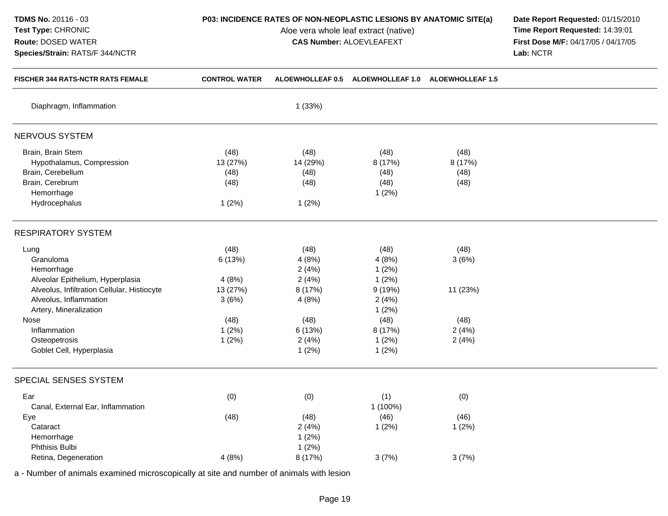**TDMS No.** 20116 - 03**Test Type:** CHRONIC

## **Route:** DOSED WATER

**Species/Strain:** RATS/F 344/NCTR

Aloe vera whole leaf extract (native)<br>**CAS Number:** ALOEVLEAFEXT

**P03: INCIDENCE RATES OF NON-NEOPLASTIC LESIONS BY ANATOMIC SITE(a) Date Report Requested: 01/15/2010**<br>Aloe vera whole leaf extract (native) **Time Report Requested: 14:39:01 First Dose M/F:** 04/17/05 / 04/17/05<br>Lab: NCTR **Lab:** NCTR

| <b>FISCHER 344 RATS-NCTR RATS FEMALE</b>    | <b>CONTROL WATER</b> | ALOEWHOLLEAF 0.5 | <b>ALOEWHOLLEAF 1.0</b> | <b>ALOEWHOLLEAF 1.5</b> |  |
|---------------------------------------------|----------------------|------------------|-------------------------|-------------------------|--|
| Diaphragm, Inflammation                     |                      | 1(33%)           |                         |                         |  |
| NERVOUS SYSTEM                              |                      |                  |                         |                         |  |
| Brain, Brain Stem                           | (48)                 | (48)             | (48)                    | (48)                    |  |
| Hypothalamus, Compression                   | 13 (27%)             | 14 (29%)         | 8 (17%)                 | 8 (17%)                 |  |
| Brain, Cerebellum                           | (48)                 | (48)             | (48)                    | (48)                    |  |
| Brain, Cerebrum                             | (48)                 | (48)             | (48)                    | (48)                    |  |
| Hemorrhage                                  |                      |                  | 1(2%)                   |                         |  |
| Hydrocephalus                               | 1(2%)                | 1(2%)            |                         |                         |  |
| <b>RESPIRATORY SYSTEM</b>                   |                      |                  |                         |                         |  |
| Lung                                        | (48)                 | (48)             | (48)                    | (48)                    |  |
| Granuloma                                   | 6(13%)               | 4(8%)            | 4(8%)                   | 3(6%)                   |  |
| Hemorrhage                                  |                      | 2(4%)            | 1(2%)                   |                         |  |
| Alveolar Epithelium, Hyperplasia            | 4(8%)                | 2(4%)            | 1(2%)                   |                         |  |
| Alveolus, Infiltration Cellular, Histiocyte | 13 (27%)             | 8 (17%)          | 9(19%)                  | 11 (23%)                |  |
| Alveolus, Inflammation                      | 3(6%)                | 4(8%)            | 2(4%)                   |                         |  |
| Artery, Mineralization                      |                      |                  | 1(2%)                   |                         |  |
| Nose                                        | (48)                 | (48)             | (48)                    | (48)                    |  |
| Inflammation                                | 1(2%)                | 6 (13%)          | 8 (17%)                 | 2(4%)                   |  |
| Osteopetrosis                               | 1(2%)                | 2(4%)            | 1(2%)                   | 2(4%)                   |  |
| Goblet Cell, Hyperplasia                    |                      | 1(2%)            | 1(2%)                   |                         |  |
| SPECIAL SENSES SYSTEM                       |                      |                  |                         |                         |  |
| Ear                                         | (0)                  | (0)              | (1)                     | (0)                     |  |
| Canal, External Ear, Inflammation           |                      |                  | 1 (100%)                |                         |  |
| Eye                                         | (48)                 | (48)             | (46)                    | (46)                    |  |
| Cataract                                    |                      | 2(4%)            | 1(2%)                   | 1(2%)                   |  |
| Hemorrhage                                  |                      | 1(2%)            |                         |                         |  |
| Phthisis Bulbi                              |                      | 1(2%)            |                         |                         |  |
| Retina, Degeneration                        | 4(8%)                | 8 (17%)          | 3(7%)                   | 3(7%)                   |  |
|                                             |                      |                  |                         |                         |  |